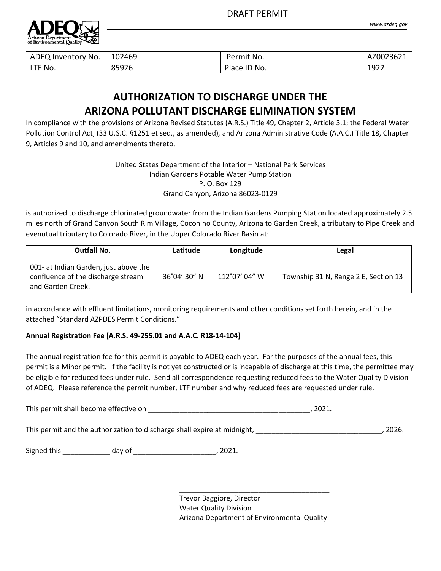

| ADEQ Inventory<br>No. | 102469 | Permit No.   | AZ0023621 |
|-----------------------|--------|--------------|-----------|
| LTF No.               | 85926  | Place ID No. | 1922      |

# **AUTHORIZATION TO DISCHARGE UNDER THE ARIZONA POLLUTANT DISCHARGE ELIMINATION SYSTEM**

Congress In compliance with the provisions of Arizona Revised Statutes (A.R.S.) Title 49, Chapter 2, Article 3.1; the Federal Water Pollution Control Act, (33 U.S.C. §1251 et seq., as amended), and Arizona Administrative Code (A.A.C.) Title 18, Chapter<br>-9, Articles 9 and 10, and amendments thereto,

> United States Department of the Interior – National Park Services Indian Gardens Potable Water Pump Station P. O. Box 129 Grand Canyon, Arizona 86023-0129

is authorized to discharge chlorinated groundwater from the Indian Gardens Pumping Station located approximately 2.5 miles north of Grand Canyon South Rim Village, Coconino County, Arizona to Garden Creek, a tributary to Pipe Creek and evenutual tributary to Colorado River, in the Upper Colorado River Basin at:

| <b>Outfall No.</b>                                                                               | Latitude     | Longitude     | Legal                                |
|--------------------------------------------------------------------------------------------------|--------------|---------------|--------------------------------------|
| 001- at Indian Garden, just above the<br>confluence of the discharge stream<br>and Garden Creek. | 36°04' 30" N | 112°07′ 04″ W | Township 31 N, Range 2 E, Section 13 |

in accordance with effluent limitations, monitoring requirements and other conditions set forth herein, and in the attached "Standard AZPDES Permit Conditions."

# **Annual Registration Fee [A.R.S. 49-255.01 and A.A.C. R18-14-104]**

The annual registration fee for this permit is payable to ADEQ each year. For the purposes of the annual fees, this permit is a Minor permit. If the facility is not yet constructed or is incapable of discharge at this time, the permittee may be eligible for reduced fees under rule. Send all correspondence requesting reduced fees to the Water Quality Division of ADEQ. Please reference the permit number, LTF number and why reduced fees are requested under rule.

This permit shall become effective on **Example 2021.** This permit shall become effective on

This permit and the authorization to discharge shall expire at midnight, \_\_\_\_\_\_\_\_\_\_\_\_\_\_\_\_\_\_\_\_\_\_\_\_\_\_\_\_\_\_\_\_\_, 2026.

Signed this \_\_\_\_\_\_\_\_\_\_\_\_ day of \_\_\_\_\_\_\_\_\_\_\_\_\_\_\_\_\_\_\_\_\_, 2021.

Trevor Baggiore, Director Water Quality Division Arizona Department of Environmental Quality

\_\_\_\_\_\_\_\_\_\_\_\_\_\_\_\_\_\_\_\_\_\_\_\_\_\_\_\_\_\_\_\_\_\_\_\_\_\_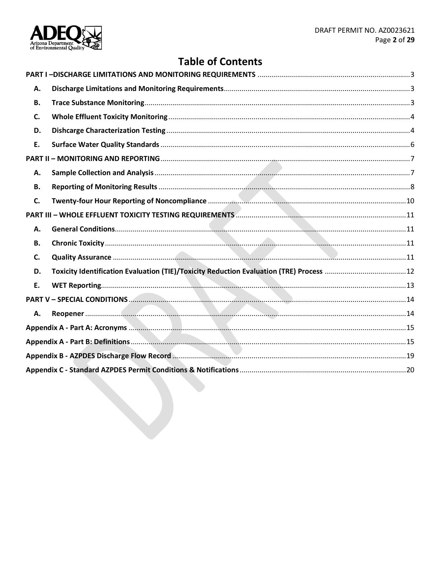

# **Table of Contents**

| Α. |  |
|----|--|
| В. |  |
| C. |  |
| D. |  |
| E. |  |
|    |  |
| А. |  |
| В. |  |
| C. |  |
|    |  |
| A. |  |
| В. |  |
| C. |  |
| D. |  |
| E. |  |
|    |  |
| А. |  |
|    |  |
|    |  |
|    |  |
|    |  |
|    |  |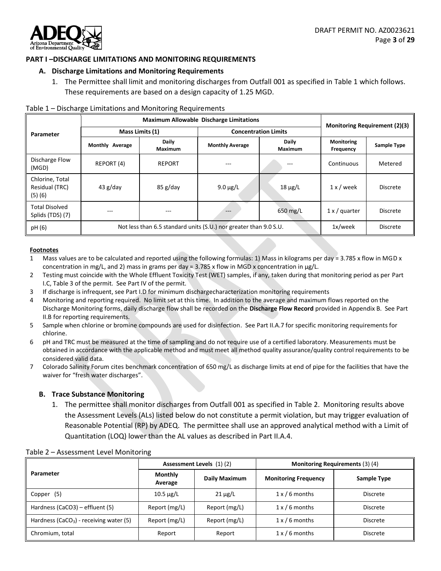

# <span id="page-2-1"></span><span id="page-2-0"></span>**PART I –DISCHARGE LIMITATIONS AND MONITORING REQUIREMENTS**

#### **A. Discharge Limitations and Monitoring Requirements**

1. The Permittee shall limit and monitoring discharges from Outfall 001 as specified in Table 1 which follows. These requirements are based on a design capacity of 1.25 MGD.

|                                             | <b>Maximum Allowable Discharge Limitations</b>                    |               |                             |                         | <b>Monitoring Requirement (2)(3)</b> |                 |
|---------------------------------------------|-------------------------------------------------------------------|---------------|-----------------------------|-------------------------|--------------------------------------|-----------------|
| Parameter                                   | Mass Limits (1)                                                   |               | <b>Concentration Limits</b> |                         |                                      |                 |
|                                             | Daily<br>Monthly Average<br>Maximum                               |               | <b>Monthly Average</b>      | Daily<br><b>Maximum</b> | <b>Monitoring</b><br>Frequency       | Sample Type     |
| Discharge Flow<br>(MGD)                     | REPORT (4)                                                        | <b>REPORT</b> | ---                         | $---$                   | Continuous                           | Metered         |
| Chlorine, Total<br>Residual (TRC)<br>(5)(6) | 43 g/day                                                          | $85$ g/day    | $9.0 \,\mu g/L$             | $18 \mu g/L$            | $1 \times /$ week                    | <b>Discrete</b> |
| <b>Total Disolved</b><br>Splids (TDS) (7)   | ---                                                               | ---           | $---$                       | $650$ mg/L              | $1 x /$ quarter                      | <b>Discrete</b> |
| pH (6)                                      | Not less than 6.5 standard units (S.U.) nor greater than 9.0 S.U. | 1x/week       | <b>Discrete</b>             |                         |                                      |                 |

#### **Footnotes**

- 1 Mass values are to be calculated and reported using the following formulas: 1) Mass in kilograms per day = 3.785 x flow in MGD x concentration in mg/L, and 2) mass in grams per day =  $3.785 \times$  flow in MGD x concentration in  $\mu$ g/L.
- 2 Testing must coincide with the Whole Effluent Toxicity Test (WET) samples, if any, taken during that monitoring period as per Part I.C, Table 3 of the permit. See Part IV of the permit.
- 3 If discharge is infrequent, see Part I.D for minimum dischargecharacterization monitoring requirements
- 4 Monitoring and reporting required. No limit set at this time. In addition to the average and maximum flows reported on the Discharge Monitoring forms, daily discharge flow shall be recorded on the **Discharge Flow Record** provided in Appendix B. See Part II.B for reporting requirements.
- 5 Sample when chlorine or bromine compounds are used for disinfection. See Part II.A.7 for specific monitoring requirements for chlorine.
- 6 pH and TRC must be measured at the time of sampling and do not require use of a certified laboratory. Measurements must be obtained in accordance with the applicable method and must meet all method quality assurance/quality control requirements to be considered valid data.
- 7 Colorado Salinity Forum cites benchmark concentration of 650 mg/L as discharge limits at end of pipe for the facilities that have the waiver for "fresh water discharges".

#### <span id="page-2-2"></span>**B. Trace Substance Monitoring**

1. The permittee shall monitor discharges from Outfall 001 as specified in Table 2. Monitoring results above the Assessment Levels (ALs) listed below do not constitute a permit violation, but may trigger evaluation of Reasonable Potential (RP) by ADEQ. The permittee shall use an approved analytical method with a Limit of Quantitation (LOQ) lower than the AL values as described in Part II.A.4.

|                                            | Assessment Levels (1)(2)  |               | Monitoring Requirements (3)(4) |                 |  |
|--------------------------------------------|---------------------------|---------------|--------------------------------|-----------------|--|
| Parameter                                  | <b>Monthly</b><br>Average | Daily Maximum | <b>Monitoring Frequency</b>    | Sample Type     |  |
| (5)<br>Copper                              | $10.5 \mu g/L$            | $21 \mu g/L$  | $1 \times 6$ months            | Discrete        |  |
| Hardness (CaCO3) – effluent (5)            | Report (mg/L)             | Report (mg/L) | $1 \times 6$ months            | <b>Discrete</b> |  |
| Hardness ( $CaCO3$ ) - receiving water (5) | Report (mg/L)             | Report (mg/L) | $1 \times 6$ months            | <b>Discrete</b> |  |
| Chromium, total                            | Report                    | Report        | $1 \times 6$ months            | Discrete        |  |

#### Table 2 – Assessment Level Monitoring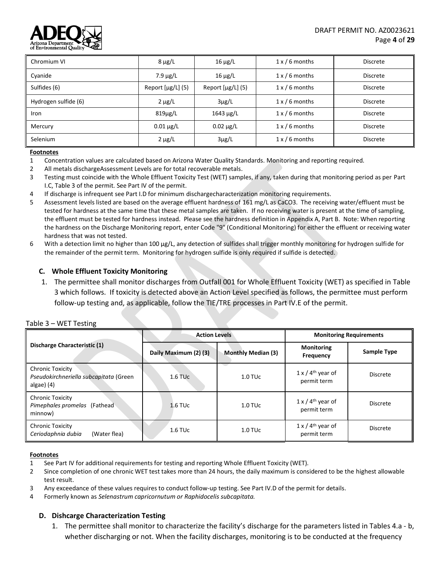

| Chromium VI          | $8 \mu g/L$            | $16 \mu g/L$           | $1 \times 6$ months | <b>Discrete</b> |
|----------------------|------------------------|------------------------|---------------------|-----------------|
| Cyanide              | $7.9 \mu g/L$          | $16 \mu g/L$           | $1 \times 6$ months | <b>Discrete</b> |
| Sulfides (6)         | Report $[\mu g/L]$ (5) | Report $[\mu g/L]$ (5) | $1 \times 6$ months | <b>Discrete</b> |
| Hydrogen sulfide (6) | $2 \mu g/L$            | $3\mu g/L$             | $1 \times 6$ months | <b>Discrete</b> |
| Iron                 | $819\mu g/L$           | $1643 \mu g/L$         | $1 \times 6$ months | <b>Discrete</b> |
| Mercury              | $0.01 \mu g/L$         | $0.02 \mu g/L$         | $1 \times 6$ months | <b>Discrete</b> |
| Selenium             | $2 \mu g/L$            | $3\mu g/L$             | $1 \times 6$ months | <b>Discrete</b> |

#### **Footnotes**

- 1 Concentration values are calculated based on Arizona Water Quality Standards. Monitoring and reporting required.
- 2 All metals dischargeAssessment Levels are for total recoverable metals.
- 3 Testing must coincide with the Whole Effluent Toxicity Test (WET) samples, if any, taken during that monitoring period as per Part I.C, Table 3 of the permit. See Part IV of the permit.
- 4 If discharge is infrequent see Part I.D for minimum dischargecharacterization monitoring requirements.
- 5 Assessment levels listed are based on the average effluent hardness of 161 mg/L as CaCO3. The receiving water/effluent must be tested for hardness at the same time that these metal samples are taken. If no receiving water is present at the time of sampling, the effluent must be tested for hardness instead. Please see the hardness definition in Appendix A, Part B. Note: When reporting the hardness on the Discharge Monitoring report, enter Code "9" (Conditional Monitoring) for either the effluent or receiving water hardness that was not tested.
- 6 With a detection limit no higher than 100 µg/L, any detection of sulfides shall trigger monthly monitoring for hydrogen sulfide for the remainder of the permit term. Monitoring for hydrogen sulfide is only required if sulfide is detected.

#### <span id="page-3-0"></span>**C. Whole Effluent Toxicity Monitoring**

1. The permittee shall monitor discharges from Outfall 001 for Whole Effluent Toxicity (WET) as specified in Table 3 which follows. If toxicity is detected above an Action Level specified as follows, the permittee must perform follow-up testing and, as applicable, follow the TIE/TRE processes in Part IV.E of the permit.

|  |  |  | Table 3 - WET Testing |
|--|--|--|-----------------------|
|--|--|--|-----------------------|

|                                                                                 | <b>Action Levels</b>  |                           | <b>Monitoring Requirements</b>                      |                 |  |
|---------------------------------------------------------------------------------|-----------------------|---------------------------|-----------------------------------------------------|-----------------|--|
| Discharge Characteristic (1)                                                    | Daily Maximum (2) (3) | <b>Monthly Median (3)</b> | <b>Monitoring</b><br>Frequency                      | Sample Type     |  |
| <b>Chronic Toxicity</b><br>Pseudokirchneriella subcapitata (Green<br>algae) (4) | $1.6$ TUc             | $1.0$ TUc                 | $1 \times / 4$ <sup>th</sup> year of<br>permit term | <b>Discrete</b> |  |
| <b>Chronic Toxicity</b><br>Pimephales promelas (Fathead)<br>minnow)             | $1.6$ TU $c$          | $1.0$ TUc.                | $1 \times / 4$ <sup>th</sup> year of<br>permit term | <b>Discrete</b> |  |
| <b>Chronic Toxicity</b><br>Ceriodaphnia dubia<br>(Water flea)                   | $1.6$ TU $c$          | $1.0$ TUc                 | $1 \times / 4$ <sup>th</sup> year of<br>permit term | <b>Discrete</b> |  |

#### **Footnotes**

- 1 See Part IV for additional requirements for testing and reporting Whole Effluent Toxicity (WET).
- 2 Since completion of one chronic WET test takes more than 24 hours, the daily maximum is considered to be the highest allowable test result.
- 3 Any exceedance of these values requires to conduct follow-up testing. See Part IV.D of the permit for details.
- 4 Formerly known as *Selenastrum capricornutum or Raphidocelis subcapitata.*

#### <span id="page-3-1"></span>**D. Dishcarge Characterization Testing**

1. The permittee shall monitor to characterize the facility's discharge for the parameters listed in Tables 4.a - b, whether discharging or not. When the facility discharges, monitoring is to be conducted at the frequency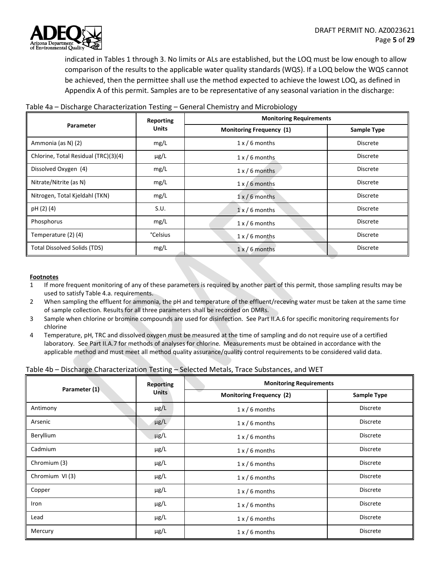

indicated in Tables 1 through 3. No limits or ALs are established, but the LOQ must be low enough to allow comparison of the results to the applicable water quality standards (WQS). If a LOQ below the WQS cannot be achieved, then the permittee shall use the method expected to achieve the lowest LOQ, as defined in Appendix A of this permit. Samples are to be representative of any seasonal variation in the discharge:

| Table 4a - Discharge Characterization Testing - General Chemistry and Microbiology |  |  |
|------------------------------------------------------------------------------------|--|--|
|                                                                                    |  |  |

|                                      | <b>Reporting</b>                         | <b>Monitoring Requirements</b> |                 |
|--------------------------------------|------------------------------------------|--------------------------------|-----------------|
| Parameter                            | <b>Units</b><br>Monitoring Frequency (1) |                                | Sample Type     |
| Ammonia (as N) (2)                   | mg/L                                     | $1 x / 6$ months               | <b>Discrete</b> |
| Chlorine, Total Residual (TRC)(3)(4) | $\mu$ g/L                                | $1 \times 6$ months            | <b>Discrete</b> |
| Dissolved Oxygen (4)                 | mg/L                                     | $1 x / 6$ months               | <b>Discrete</b> |
| Nitrate/Nitrite (as N)               | mg/L                                     | $1 x / 6$ months               | <b>Discrete</b> |
| Nitrogen, Total Kjeldahl (TKN)       | mg/L                                     | $1 \times / 6$ months          | <b>Discrete</b> |
| pH (2) (4)                           | S.U.                                     | $1 \times 6$ months            | <b>Discrete</b> |
| Phosphorus                           | mg/L                                     | $1 x / 6$ months               | <b>Discrete</b> |
| Temperature (2) (4)                  | <i><b>Celsius</b></i>                    | $1 \times 6$ months            | <b>Discrete</b> |
| <b>Total Dissolved Solids (TDS)</b>  | mg/L                                     | $1 x / 6$ months               | <b>Discrete</b> |

#### **Footnotes**

- 1 If more frequent monitoring of any of these parameters is required by another part of this permit, those sampling results may be used to satisfy Table 4.a. requirements.
- 2 When sampling the effluent for ammonia, the pH and temperature of the effluent/receving water must be taken at the same time of sample collection. Results for all three parameters shall be recorded on DMRs.
- 3 Sample when chlorine or bromine compounds are used for disinfection. See Part II.A.6 for specific monitoring requirements for chlorine
- 4 Temperature, pH, TRC and dissolved oxygen must be measured at the time of sampling and do not require use of a certified laboratory. See Part II.A.7 for methods of analyses for chlorine. Measurements must be obtained in accordance with the applicable method and must meet all method quality assurance/quality control requirements to be considered valid data.

#### Table 4b – Discharge Characterization Testing – Selected Metals, Trace Substances, and WET

|                 | <b>Monitoring Requirements</b><br><b>Reporting</b> |                                 |                    |
|-----------------|----------------------------------------------------|---------------------------------|--------------------|
| Parameter (1)   | <b>Units</b>                                       | <b>Monitoring Frequency (2)</b> | <b>Sample Type</b> |
| Antimony        | $\mu$ g/L                                          | $1 x / 6$ months                | Discrete           |
| Arsenic         | $\mu$ g/L                                          | $1 x / 6$ months                | <b>Discrete</b>    |
| Beryllium       | $\mu$ g/L                                          | $1 x / 6$ months                | <b>Discrete</b>    |
| Cadmium         | $\mu$ g/L                                          | $1 x / 6$ months                | <b>Discrete</b>    |
| Chromium (3)    | $\mu$ g/L                                          | $1 x / 6$ months                | <b>Discrete</b>    |
| Chromium VI (3) | $\mu$ g/L                                          | $1 x / 6$ months                | Discrete           |
| Copper          | $\mu$ g/L                                          | $1 x / 6$ months                | <b>Discrete</b>    |
| Iron            | $\mu$ g/L                                          | $1 x / 6$ months                | <b>Discrete</b>    |
| Lead            | $\mu$ g/L                                          | $1 x / 6$ months                | <b>Discrete</b>    |
| Mercury         | $\mu$ g/L                                          | $1 x / 6$ months                | Discrete           |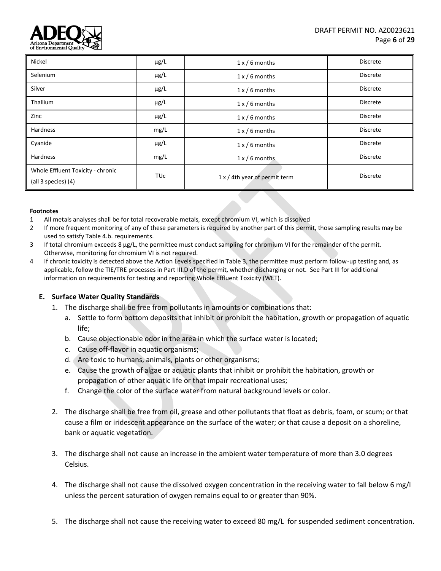

| Nickel                                                   | $\mu$ g/L  | $1 x / 6$ months              | <b>Discrete</b> |
|----------------------------------------------------------|------------|-------------------------------|-----------------|
| Selenium                                                 | $\mu$ g/L  | $1 \times / 6$ months         | <b>Discrete</b> |
| Silver                                                   | $\mu$ g/L  | $1 \times / 6$ months         | <b>Discrete</b> |
| Thallium                                                 | $\mu$ g/L  | $1 \times / 6$ months         | <b>Discrete</b> |
| Zinc                                                     | $\mu$ g/L  | $1 \times / 6$ months         | <b>Discrete</b> |
| Hardness                                                 | mg/L       | $1 \times / 6$ months         | <b>Discrete</b> |
| Cyanide                                                  | $\mu$ g/L  | $1 \times / 6$ months         | <b>Discrete</b> |
| Hardness                                                 | mg/L       | $1 \times / 6$ months         | <b>Discrete</b> |
| Whole Effluent Toxicity - chronic<br>(all 3 species) (4) | <b>TUc</b> | 1 x / 4th year of permit term | <b>Discrete</b> |

#### **Footnotes**

- 1 All metals analyses shall be for total recoverable metals, except chromium VI, which is dissolved
- 2 If more frequent monitoring of any of these parameters is required by another part of this permit, those sampling results may be used to satisfy Table 4.b. requirements.
- 3 If total chromium exceeds 8 µg/L, the permittee must conduct sampling for chromium VI for the remainder of the permit. Otherwise, monitoring for chromium VI is not required.
- 4 If chronic toxicity is detected above the Action Levels specified in Table 3, the permittee must perform follow-up testing and, as applicable, follow the TIE/TRE processes in Part III.D of the permit, whether discharging or not. See Part III for additional information on requirements for testing and reporting Whole Effluent Toxicity (WET).

#### <span id="page-5-0"></span>**E. Surface Water Quality Standards**

- 1. The discharge shall be free from pollutants in amounts or combinations that:
	- a. Settle to form bottom deposits that inhibit or prohibit the habitation, growth or propagation of aquatic life;
	- b. Cause objectionable odor in the area in which the surface water is located;
	- c. Cause off-flavor in aquatic organisms;
	- d. Are toxic to humans, animals, plants or other organisms;
	- e. Cause the growth of algae or aquatic plants that inhibit or prohibit the habitation, growth or propagation of other aquatic life or that impair recreational uses;
	- f. Change the color of the surface water from natural background levels or color.
- 2. The discharge shall be free from oil, grease and other pollutants that float as debris, foam, or scum; or that cause a film or iridescent appearance on the surface of the water; or that cause a deposit on a shoreline, bank or aquatic vegetation.
- 3. The discharge shall not cause an increase in the ambient water temperature of more than 3.0 degrees Celsius.
- 4. The discharge shall not cause the dissolved oxygen concentration in the receiving water to fall below 6 mg/l unless the percent saturation of oxygen remains equal to or greater than 90%.
- 5. The discharge shall not cause the receiving water to exceed 80 mg/L for suspended sediment concentration.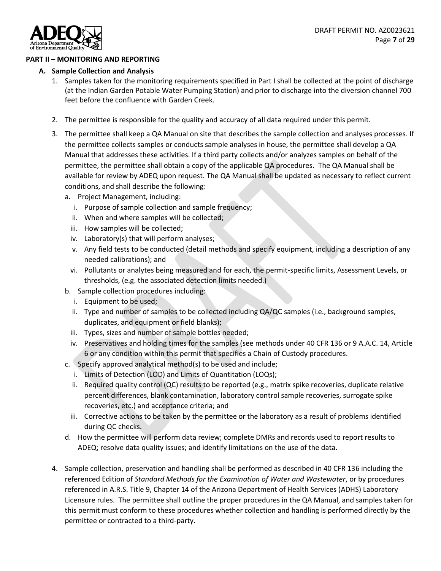

#### <span id="page-6-1"></span><span id="page-6-0"></span>**PART II – MONITORING AND REPORTING**

#### **A. Sample Collection and Analysis**

- 1. Samples taken for the monitoring requirements specified in Part I shall be collected at the point of discharge (at the Indian Garden Potable Water Pumping Station) and prior to discharge into the diversion channel 700 feet before the confluence with Garden Creek.
- 2. The permittee is responsible for the quality and accuracy of all data required under this permit.
- 3. The permittee shall keep a QA Manual on site that describes the sample collection and analyses processes. If the permittee collects samples or conducts sample analyses in house, the permittee shall develop a QA Manual that addresses these activities. If a third party collects and/or analyzes samples on behalf of the permittee, the permittee shall obtain a copy of the applicable QA procedures. The QA Manual shall be available for review by ADEQ upon request. The QA Manual shall be updated as necessary to reflect current conditions, and shall describe the following:
	- a. Project Management, including:
		- i. Purpose of sample collection and sample frequency;
		- ii. When and where samples will be collected;
		- iii. How samples will be collected;
		- iv. Laboratory(s) that will perform analyses;
		- v. Any field tests to be conducted (detail methods and specify equipment, including a description of any needed calibrations); and
		- vi. Pollutants or analytes being measured and for each, the permit-specific limits, Assessment Levels, or thresholds, (e.g. the associated detection limits needed.)
	- b. Sample collection procedures including:
		- i. Equipment to be used;
		- ii. Type and number of samples to be collected including QA/QC samples (i.e., background samples, duplicates, and equipment or field blanks);
		- iii. Types, sizes and number of sample bottles needed;
		- iv. Preservatives and holding times for the samples (see methods under 40 CFR 136 or 9 A.A.C. 14, Article 6 or any condition within this permit that specifies a Chain of Custody procedures.
	- c. Specify approved analytical method(s) to be used and include;
		- i. Limits of Detection (LOD) and Limits of Quantitation (LOQs);
		- ii. Required quality control (QC) results to be reported (e.g., matrix spike recoveries, duplicate relative percent differences, blank contamination, laboratory control sample recoveries, surrogate spike recoveries, etc.) and acceptance criteria; and
		- iii. Corrective actions to be taken by the permittee or the laboratory as a result of problems identified during QC checks.
	- d. How the permittee will perform data review; complete DMRs and records used to report results to ADEQ; resolve data quality issues; and identify limitations on the use of the data.
- 4. Sample collection, preservation and handling shall be performed as described in 40 CFR 136 including the referenced Edition of *Standard Methods for the Examination of Water and Wastewater*, or by procedures referenced in A.R.S. Title 9, Chapter 14 of the Arizona Department of Health Services (ADHS) Laboratory Licensure rules. The permittee shall outline the proper procedures in the QA Manual, and samples taken for this permit must conform to these procedures whether collection and handling is performed directly by the permittee or contracted to a third-party.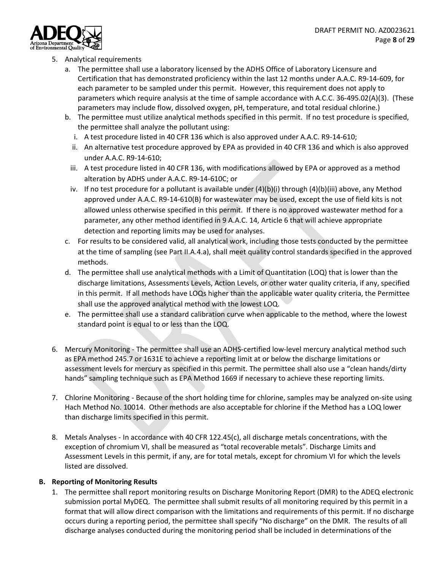

- 5. Analytical requirements
	- a. The permittee shall use a laboratory licensed by the ADHS Office of Laboratory Licensure and Certification that has demonstrated proficiency within the last 12 months under A.A.C. R9-14-609, for each parameter to be sampled under this permit. However, this requirement does not apply to parameters which require analysis at the time of sample accordance with A.C.C. 36-495.02(A)(3). (These parameters may include flow, dissolved oxygen, pH, temperature, and total residual chlorine.)
	- b. The permittee must utilize analytical methods specified in this permit. If no test procedure is specified, the permittee shall analyze the pollutant using:
		- i. A test procedure listed in 40 CFR 136 which is also approved under A.A.C. R9-14-610;
		- ii. An alternative test procedure approved by EPA as provided in 40 CFR 136 and which is also approved under A.A.C. R9-14-610;
		- iii. A test procedure listed in 40 CFR 136, with modifications allowed by EPA or approved as a method alteration by ADHS under A.A.C. R9-14-610C; or
		- iv. If no test procedure for a pollutant is available under (4)(b)(i) through (4)(b)(iii) above, any Method approved under A.A.C. R9-14-610(B) for wastewater may be used, except the use of field kits is not allowed unless otherwise specified in this permit. If there is no approved wastewater method for a parameter, any other method identified in 9 A.A.C. 14, Article 6 that will achieve appropriate detection and reporting limits may be used for analyses.
	- c. For results to be considered valid, all analytical work, including those tests conducted by the permittee at the time of sampling (see Part II.A.4.a), shall meet quality control standards specified in the approved methods.
	- d. The permittee shall use analytical methods with a Limit of Quantitation (LOQ) that is lower than the discharge limitations, Assessments Levels, Action Levels, or other water quality criteria, if any, specified in this permit. If all methods have LOQs higher than the applicable water quality criteria, the Permittee shall use the approved analytical method with the lowest LOQ.
	- e. The permittee shall use a standard calibration curve when applicable to the method, where the lowest standard point is equal to or less than the LOQ.
- 6. Mercury Monitoring The permittee shall use an ADHS-certified low-level mercury analytical method such as EPA method 245.7 or 1631E to achieve a reporting limit at or below the discharge limitations or assessment levels for mercury as specified in this permit. The permittee shall also use a "clean hands/dirty hands" sampling technique such as EPA Method 1669 if necessary to achieve these reporting limits.
- 7. Chlorine Monitoring Because of the short holding time for chlorine, samples may be analyzed on-site using Hach Method No. 10014. Other methods are also acceptable for chlorine if the Method has a LOQ lower than discharge limits specified in this permit.
- 8. Metals Analyses In accordance with 40 CFR 122.45(c), all discharge metals concentrations, with the exception of chromium VI, shall be measured as "total recoverable metals". Discharge Limits and Assessment Levels in this permit, if any, are for total metals, except for chromium VI for which the levels listed are dissolved.

# <span id="page-7-0"></span>**B. Reporting of Monitoring Results**

1. The permittee shall report monitoring results on Discharge Monitoring Report (DMR) to the ADEQ electronic submission portal MyDEQ. The permittee shall submit results of all monitoring required by this permit in a format that will allow direct comparison with the limitations and requirements of this permit. If no discharge occurs during a reporting period, the permittee shall specify "No discharge" on the DMR. The results of all discharge analyses conducted during the monitoring period shall be included in determinations of the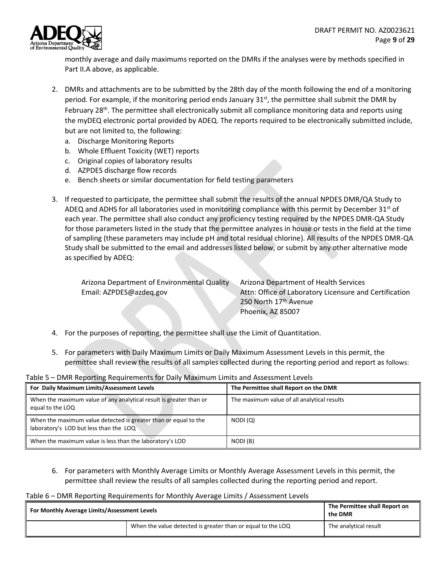

monthly average and daily maximums reported on the DMRs if the analyses were by methods specified in Part II.A above, as applicable.

- 2. DMRs and attachments are to be submitted by the 28th day of the month following the end of a monitoring period. For example, if the monitoring period ends January 31st, the permittee shall submit the DMR by February 28<sup>th</sup>. The permittee shall electronically submit all compliance monitoring data and reports using the myDEQ electronic portal provided by ADEQ. The reports required to be electronically submitted include, but are not limited to, the following:
	- a. Discharge Monitoring Reports
	- b. Whole Effluent Toxicity (WET) reports
	- c. Original copies of laboratory results
	- d. AZPDES discharge flow records
	- e. Bench sheets or similar documentation for field testing parameters
- 3. If requested to participate, the permittee shall submit the results of the annual NPDES DMR/QA Study to ADEQ and ADHS for all laboratories used in monitoring compliance with this permit by December 31<sup>st</sup> of each year. The permittee shall also conduct any proficiency testing required by the NPDES DMR-QA Study for those parameters listed in the study that the permittee analyzes in house or tests in the field at the time of sampling (these parameters may include pH and total residual chlorine). All results of the NPDES DMR-QA Study shall be submitted to the email and addresses listed below, or submit by any other alternative mode as specified by ADEQ:

| Arizona Department of Environmental Quality | Arizona Department of Health Services                  |
|---------------------------------------------|--------------------------------------------------------|
| Email: AZPDES@azdeg.gov                     | Attn: Office of Laboratory Licensure and Certification |
|                                             | 250 North 17th Avenue                                  |
|                                             | Phoenix, AZ 85007                                      |

- 4. For the purposes of reporting, the permittee shall use the Limit of Quantitation.
- 5. For parameters with Daily Maximum Limits or Daily Maximum Assessment Levels in this permit, the permittee shall review the results of all samples collected during the reporting period and report as follows:

|  | Table 5 - DMR Reporting Requirements for Daily Maximum Limits and Assessment Levels |  |  |  |
|--|-------------------------------------------------------------------------------------|--|--|--|
|--|-------------------------------------------------------------------------------------|--|--|--|

| For Daily Maximum Limits/Assessment Levels                                                                | The Permittee shall Report on the DMR       |
|-----------------------------------------------------------------------------------------------------------|---------------------------------------------|
| When the maximum value of any analytical result is greater than or<br>equal to the LOQ                    | The maximum value of all analytical results |
| When the maximum value detected is greater than or equal to the<br>laboratory's LOD but less than the LOQ | NODI (Q)                                    |
| When the maximum value is less than the laboratory's LOD                                                  | NODI (B)                                    |

6. For parameters with Monthly Average Limits or Monthly Average Assessment Levels in this permit, the permittee shall review the results of all samples collected during the reporting period and report.

#### Table 6 – DMR Reporting Requirements for Monthly Average Limits / Assessment Levels

| For Monthly Average Limits/Assessment Levels |                                                             | The Permittee shall Report on<br>the DMR |
|----------------------------------------------|-------------------------------------------------------------|------------------------------------------|
|                                              | When the value detected is greater than or equal to the LOQ | The analytical result                    |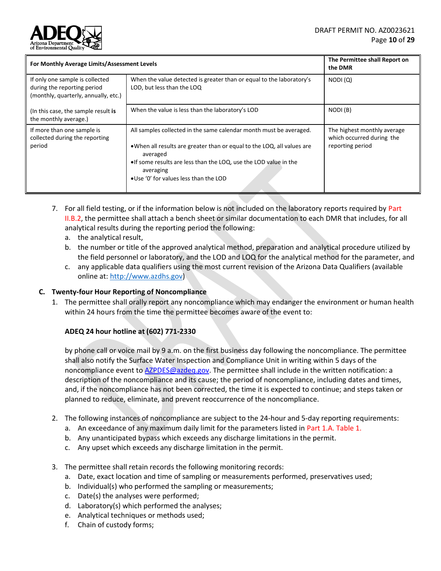

| For Monthly Average Limits/Assessment Levels                                                           |                                                                                                                                                                                                                                                                                       | The Permittee shall Report on<br>the DMR                                     |
|--------------------------------------------------------------------------------------------------------|---------------------------------------------------------------------------------------------------------------------------------------------------------------------------------------------------------------------------------------------------------------------------------------|------------------------------------------------------------------------------|
| If only one sample is collected<br>during the reporting period<br>(monthly, quarterly, annually, etc.) | When the value detected is greater than or equal to the laboratory's<br>LOD, but less than the LOQ                                                                                                                                                                                    | NODI(Q)                                                                      |
| (In this case, the sample result is<br>the monthly average.)                                           | When the value is less than the laboratory's LOD                                                                                                                                                                                                                                      | NODI (B)                                                                     |
| If more than one sample is<br>collected during the reporting<br>period                                 | All samples collected in the same calendar month must be averaged.<br>• When all results are greater than or equal to the LOQ, all values are<br>averaged<br>• If some results are less than the LOQ, use the LOD value in the<br>averaging<br>• Use '0' for values less than the LOD | The highest monthly average<br>which occurred during the<br>reporting period |

- 7. For all field testing, or if the information below is not included on the laboratory reports required by Part II.B.2, the permittee shall attach a bench sheet or similar documentation to each DMR that includes, for all analytical results during the reporting period the following:
	- a. the analytical result,
	- b. the number or title of the approved analytical method, preparation and analytical procedure utilized by the field personnel or laboratory, and the LOD and LOQ for the analytical method for the parameter, and
	- c. any applicable data qualifiers using the most current revision of the Arizona Data Qualifiers (available online at: http://www.azdhs.gov)

# <span id="page-9-0"></span>**C. Twenty-four Hour Reporting of Noncompliance**

1. The permittee shall orally report any noncompliance which may endanger the environment or human health within 24 hours from the time the permittee becomes aware of the event to:

# **ADEQ 24 hour hotline at (602) 771-2330**

by phone call or voice mail by 9 a.m. on the first business day following the noncompliance. The permittee shall also notify the Surface Water Inspection and Compliance Unit in writing within 5 days of the noncompliance event to [AZPDES@azdeq.gov.](mailto:AZPDES@azdeq.gov) The permittee shall include in the written notification: a description of the noncompliance and its cause; the period of noncompliance, including dates and times, and, if the noncompliance has not been corrected, the time it is expected to continue; and steps taken or planned to reduce, eliminate, and prevent reoccurrence of the noncompliance.

- 2. The following instances of noncompliance are subject to the 24-hour and 5-day reporting requirements:
	- a. An exceedance of any maximum daily limit for the parameters listed in Part 1.A. Table 1.
	- b. Any unanticipated bypass which exceeds any discharge limitations in the permit.
	- c. Any upset which exceeds any discharge limitation in the permit.
- 3. The permittee shall retain records the following monitoring records:
	- a. Date, exact location and time of sampling or measurements performed, preservatives used;
	- b. Individual(s) who performed the sampling or measurements;
	- c. Date(s) the analyses were performed;
	- d. Laboratory(s) which performed the analyses;
	- e. Analytical techniques or methods used;
	- f. Chain of custody forms;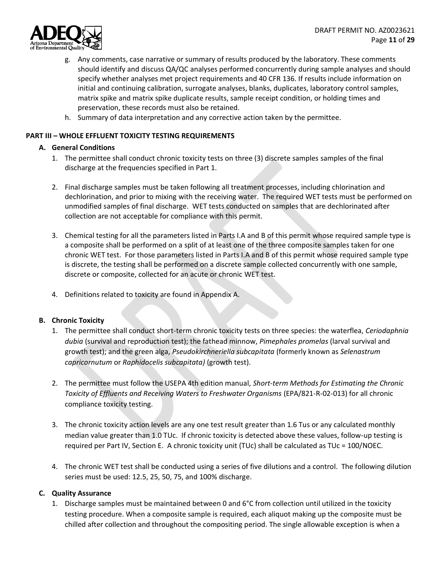

- g. Any comments, case narrative or summary of results produced by the laboratory. These comments should identify and discuss QA/QC analyses performed concurrently during sample analyses and should specify whether analyses met project requirements and 40 CFR 136. If results include information on initial and continuing calibration, surrogate analyses, blanks, duplicates, laboratory control samples, matrix spike and matrix spike duplicate results, sample receipt condition, or holding times and preservation, these records must also be retained.
- h. Summary of data interpretation and any corrective action taken by the permittee.

#### <span id="page-10-1"></span><span id="page-10-0"></span>**PART III – WHOLE EFFLUENT TOXICITY TESTING REQUIREMENTS**

#### **A. General Conditions**

- 1. The permittee shall conduct chronic toxicity tests on three (3) discrete samples samples of the final discharge at the frequencies specified in Part 1.
- 2. Final discharge samples must be taken following all treatment processes, including chlorination and dechlorination, and prior to mixing with the receiving water. The required WET tests must be performed on unmodified samples of final discharge. WET tests conducted on samples that are dechlorinated after collection are not acceptable for compliance with this permit.
- 3. Chemical testing for all the parameters listed in Parts I.A and B of this permit whose required sample type is a composite shall be performed on a split of at least one of the three composite samples taken for one chronic WET test. For those parameters listed in Parts I.A and B of this permit whose required sample type is discrete, the testing shall be performed on a discrete sample collected concurrently with one sample, discrete or composite, collected for an acute or chronic WET test.
- 4. Definitions related to toxicity are found in Appendix A.

#### <span id="page-10-2"></span>**B. Chronic Toxicity**

- 1. The permittee shall conduct short-term chronic toxicity tests on three species: the waterflea, *Ceriodaphnia dubia* (survival and reproduction test); the fathead minnow, *Pimephales promelas* (larval survival and growth test); and the green alga, *Pseudokirchneriella subcapitata* (formerly known as *Selenastrum capricornutum* or *Raphidocelis subcapitata)* (growth test).
- 2. The permittee must follow the USEPA 4th edition manual, *Short-term Methods for Estimating the Chronic Toxicity of Effluents and Receiving Waters to Freshwater Organisms* (EPA/821-R-02-013) for all chronic compliance toxicity testing.
- 3. The chronic toxicity action levels are any one test result greater than 1.6 Tus or any calculated monthly median value greater than 1.0 TUc. If chronic toxicity is detected above these values, follow-up testing is required per Part IV, Section E. A chronic toxicity unit (TUc) shall be calculated as TUc = 100/NOEC.
- 4. The chronic WET test shall be conducted using a series of five dilutions and a control. The following dilution series must be used: 12.5, 25, 50, 75, and 100% discharge.

# <span id="page-10-3"></span>**C. Quality Assurance**

1. Discharge samples must be maintained between 0 and  $6^{\circ}$ C from collection until utilized in the toxicity testing procedure. When a composite sample is required, each aliquot making up the composite must be chilled after collection and throughout the compositing period. The single allowable exception is when a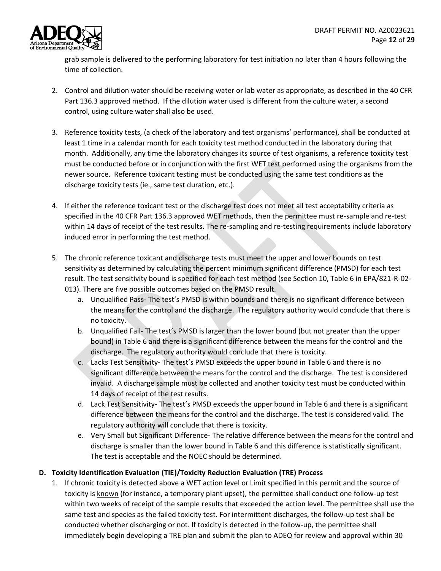

grab sample is delivered to the performing laboratory for test initiation no later than 4 hours following the time of collection.

- 2. Control and dilution water should be receiving water or lab water as appropriate, as described in the 40 CFR Part 136.3 approved method. If the dilution water used is different from the culture water, a second control, using culture water shall also be used.
- 3. Reference toxicity tests, (a check of the laboratory and test organisms' performance), shall be conducted at least 1 time in a calendar month for each toxicity test method conducted in the laboratory during that month. Additionally, any time the laboratory changes its source of test organisms, a reference toxicity test must be conducted before or in conjunction with the first WET test performed using the organisms from the newer source. Reference toxicant testing must be conducted using the same test conditions as the discharge toxicity tests (ie., same test duration, etc.).
- 4. If either the reference toxicant test or the discharge test does not meet all test acceptability criteria as specified in the 40 CFR Part 136.3 approved WET methods, then the permittee must re-sample and re-test within 14 days of receipt of the test results. The re-sampling and re-testing requirements include laboratory induced error in performing the test method.
- 5. The chronic reference toxicant and discharge tests must meet the upper and lower bounds on test sensitivity as determined by calculating the percent minimum significant difference (PMSD) for each test result. The test sensitivity bound is specified for each test method (see Section 10, Table 6 in EPA/821-R-02- 013). There are five possible outcomes based on the PMSD result.
	- a. Unqualified Pass- The test's PMSD is within bounds and there is no significant difference between the means for the control and the discharge. The regulatory authority would conclude that there is no toxicity.
	- b. Unqualified Fail- The test's PMSD is larger than the lower bound (but not greater than the upper bound) in Table 6 and there is a significant difference between the means for the control and the discharge. The regulatory authority would conclude that there is toxicity.
	- c. Lacks Test Sensitivity- The test's PMSD exceeds the upper bound in Table 6 and there is no significant difference between the means for the control and the discharge. The test is considered invalid. A discharge sample must be collected and another toxicity test must be conducted within 14 days of receipt of the test results.
	- d. Lack Test Sensitivity- The test's PMSD exceeds the upper bound in Table 6 and there is a significant difference between the means for the control and the discharge. The test is considered valid. The regulatory authority will conclude that there is toxicity.
	- e. Very Small but Significant Difference- The relative difference between the means for the control and discharge is smaller than the lower bound in Table 6 and this difference is statistically significant. The test is acceptable and the NOEC should be determined.

# <span id="page-11-0"></span>**D. Toxicity Identification Evaluation (TIE)/Toxicity Reduction Evaluation (TRE) Process**

1. If chronic toxicity is detected above a WET action level or Limit specified in this permit and the source of toxicity is known (for instance, a temporary plant upset), the permittee shall conduct one follow-up test within two weeks of receipt of the sample results that exceeded the action level. The permittee shall use the same test and species as the failed toxicity test. For intermittent discharges, the follow-up test shall be conducted whether discharging or not. If toxicity is detected in the follow-up, the permittee shall immediately begin developing a TRE plan and submit the plan to ADEQ for review and approval within 30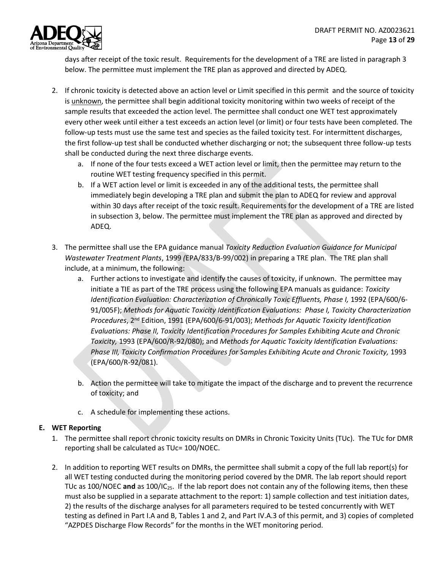

days after receipt of the toxic result. Requirements for the development of a TRE are listed in paragraph 3 below. The permittee must implement the TRE plan as approved and directed by ADEQ.

- 2. If chronic toxicity is detected above an action level or Limit specified in this permit and the source of toxicity is unknown, the permittee shall begin additional toxicity monitoring within two weeks of receipt of the sample results that exceeded the action level. The permittee shall conduct one WET test approximately every other week until either a test exceeds an action level (or limit) or four tests have been completed. The follow-up tests must use the same test and species as the failed toxicity test. For intermittent discharges, the first follow-up test shall be conducted whether discharging or not; the subsequent three follow-up tests shall be conducted during the next three discharge events.
	- a. If none of the four tests exceed a WET action level or limit, then the permittee may return to the routine WET testing frequency specified in this permit.
	- b. If a WET action level or limit is exceeded in any of the additional tests, the permittee shall immediately begin developing a TRE plan and submit the plan to ADEQ for review and approval within 30 days after receipt of the toxic result. Requirements for the development of a TRE are listed in subsection 3, below. The permittee must implement the TRE plan as approved and directed by ADEQ.
- 3. The permittee shall use the EPA guidance manual *Toxicity Reduction Evaluation Guidance for Municipal Wastewater Treatment Plants*, 1999 *(*EPA/833/B-99/002) in preparing a TRE plan. The TRE plan shall include, at a minimum, the following:
	- a. Further actions to investigate and identify the causes of toxicity, if unknown. The permittee may initiate a TIE as part of the TRE process using the following EPA manuals as guidance: *Toxicity*  Identification Evaluation: Characterization of Chronically Toxic Effluents, Phase I, 1992 (EPA/600/6-91/005F); *Methods for Aquatic Toxicity Identification Evaluations: Phase I, Toxicity Characterization Procedures*, 2nd Edition, 1991 (EPA/600/6-91/003); *Methods for Aquatic Toxicity Identification Evaluations: Phase II, Toxicity Identification Procedures for Samples Exhibiting Acute and Chronic Toxicity,* 1993 (EPA/600/R-92/080); and *Methods for Aquatic Toxicity Identification Evaluations:*  Phase III, Toxicity Confirmation Procedures for Samples Exhibiting Acute and Chronic Toxicity, 1993 (EPA/600/R-92/081).
	- b. Action the permittee will take to mitigate the impact of the discharge and to prevent the recurrence of toxicity; and
	- c. A schedule for implementing these actions.

# <span id="page-12-0"></span>**E. WET Reporting**

- 1. The permittee shall report chronic toxicity results on DMRs in Chronic Toxicity Units (TUc). The TUc for DMR reporting shall be calculated as TUc= 100/NOEC.
- 2. In addition to reporting WET results on DMRs, the permittee shall submit a copy of the full lab report(s) for all WET testing conducted during the monitoring period covered by the DMR. The lab report should report TUc as 100/NOEC **and** as 100/IC25. If the lab report does not contain any of the following items, then these must also be supplied in a separate attachment to the report: 1) sample collection and test initiation dates, 2) the results of the discharge analyses for all parameters required to be tested concurrently with WET testing as defined in Part I.A and B, Tables 1 and 2, and Part IV.A.3 of this permit, and 3) copies of completed "AZPDES Discharge Flow Records" for the months in the WET monitoring period.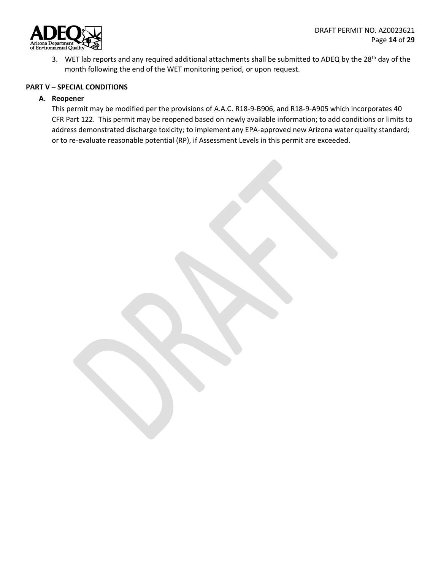

3. WET lab reports and any required additional attachments shall be submitted to ADEQ by the 28<sup>th</sup> day of the month following the end of the WET monitoring period, or upon request.

#### <span id="page-13-1"></span><span id="page-13-0"></span>**PART V – SPECIAL CONDITIONS**

#### **A. Reopener**

This permit may be modified per the provisions of A.A.C. R18-9-B906, and R18-9-A905 which incorporates 40 CFR Part 122. This permit may be reopened based on newly available information; to add conditions or limits to address demonstrated discharge toxicity; to implement any EPA-approved new Arizona water quality standard; or to re-evaluate reasonable potential (RP), if Assessment Levels in this permit are exceeded.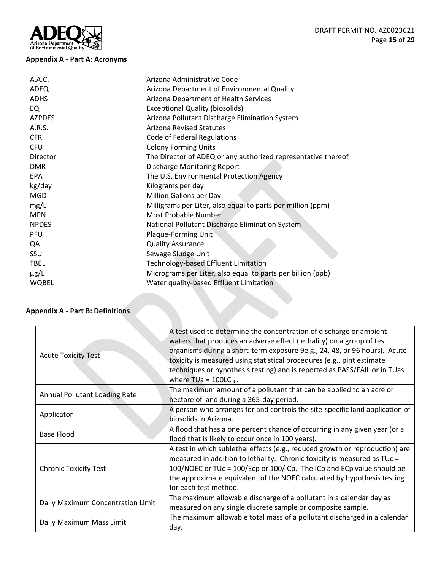# Arizona Department

# <span id="page-14-0"></span>**Appendix A - Part A: Acronyms**

| A.A.C.        | Arizona Administrative Code                                   |  |
|---------------|---------------------------------------------------------------|--|
| ADEQ          | Arizona Department of Environmental Quality                   |  |
| <b>ADHS</b>   | Arizona Department of Health Services                         |  |
| EQ            | <b>Exceptional Quality (biosolids)</b>                        |  |
| <b>AZPDES</b> | Arizona Pollutant Discharge Elimination System                |  |
| A.R.S.        | <b>Arizona Revised Statutes</b>                               |  |
| <b>CFR</b>    | Code of Federal Regulations                                   |  |
| <b>CFU</b>    | <b>Colony Forming Units</b>                                   |  |
| Director      | The Director of ADEQ or any authorized representative thereof |  |
| <b>DMR</b>    | <b>Discharge Monitoring Report</b>                            |  |
| <b>EPA</b>    | The U.S. Environmental Protection Agency                      |  |
| kg/day        | Kilograms per day                                             |  |
| <b>MGD</b>    | Million Gallons per Day                                       |  |
| mg/L          | Milligrams per Liter, also equal to parts per million (ppm)   |  |
| <b>MPN</b>    | Most Probable Number                                          |  |
| <b>NPDES</b>  | National Pollutant Discharge Elimination System               |  |
| <b>PFU</b>    | Plaque-Forming Unit                                           |  |
| QA            | <b>Quality Assurance</b>                                      |  |
| <b>SSU</b>    | Sewage Sludge Unit                                            |  |
| <b>TBEL</b>   | <b>Technology-based Effluent Limitation</b>                   |  |
| $\mu$ g/L     | Micrograms per Liter, also equal to parts per billion (ppb)   |  |
| WQBEL         | Water quality-based Effluent Limitation                       |  |
|               |                                                               |  |

# <span id="page-14-1"></span>**Appendix A - Part B: Definitions**

| <b>Acute Toxicity Test</b>           | A test used to determine the concentration of discharge or ambient<br>waters that produces an adverse effect (lethality) on a group of test<br>organisms during a short-term exposure 9e.g., 24, 48, or 96 hours). Acute<br>toxicity is measured using statistical procedures (e.g., pint estimate<br>techniques or hypothesis testing) and is reported as PASS/FAIL or in TUas,<br>where $TUa = 100LC_{50}$ . |
|--------------------------------------|----------------------------------------------------------------------------------------------------------------------------------------------------------------------------------------------------------------------------------------------------------------------------------------------------------------------------------------------------------------------------------------------------------------|
| <b>Annual Pollutant Loading Rate</b> | The maximum amount of a pollutant that can be applied to an acre or<br>hectare of land during a 365-day period.                                                                                                                                                                                                                                                                                                |
| Applicator                           | A person who arranges for and controls the site-specific land application of<br>biosolids in Arizona.                                                                                                                                                                                                                                                                                                          |
| Base Flood                           | A flood that has a one percent chance of occurring in any given year (or a<br>flood that is likely to occur once in 100 years).                                                                                                                                                                                                                                                                                |
| <b>Chronic Toxicity Test</b>         | A test in which sublethal effects (e.g., reduced growth or reproduction) are<br>measured in addition to lethality. Chronic toxicity is measured as TUc =<br>100/NOEC or TUc = 100/Ecp or 100/ICp. The ICp and ECp value should be<br>the approximate equivalent of the NOEC calculated by hypothesis testing<br>for each test method.                                                                          |
| Daily Maximum Concentration Limit    | The maximum allowable discharge of a pollutant in a calendar day as<br>measured on any single discrete sample or composite sample.                                                                                                                                                                                                                                                                             |
| Daily Maximum Mass Limit             | The maximum allowable total mass of a pollutant discharged in a calendar<br>day.                                                                                                                                                                                                                                                                                                                               |

**The Second Service**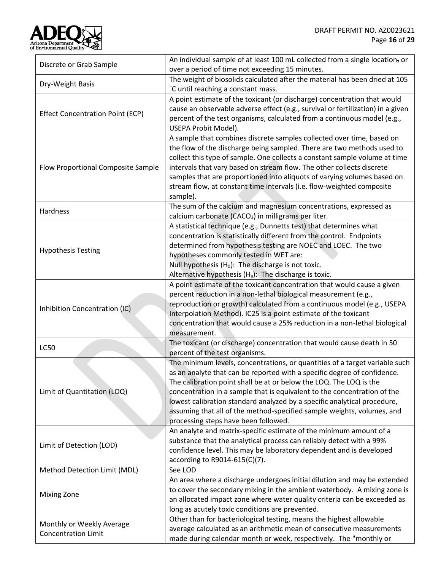

| Discrete or Grab Sample                 | An individual sample of at least 100 mL collected from a single location, or    |
|-----------------------------------------|---------------------------------------------------------------------------------|
|                                         | over a period of time not exceeding 15 minutes.                                 |
| Dry-Weight Basis                        | The weight of biosolids calculated after the material has been dried at 105     |
|                                         | °C until reaching a constant mass.                                              |
|                                         | A point estimate of the toxicant (or discharge) concentration that would        |
| <b>Effect Concentration Point (ECP)</b> | cause an observable adverse effect (e.g., survival or fertilization) in a given |
|                                         | percent of the test organisms, calculated from a continuous model (e.g.,        |
|                                         | USEPA Probit Model).                                                            |
|                                         | A sample that combines discrete samples collected over time, based on           |
|                                         | the flow of the discharge being sampled. There are two methods used to          |
|                                         | collect this type of sample. One collects a constant sample volume at time      |
| Flow Proportional Composite Sample      | intervals that vary based on stream flow. The other collects discrete           |
|                                         | samples that are proportioned into aliquots of varying volumes based on         |
|                                         | stream flow, at constant time intervals (i.e. flow-weighted composite           |
|                                         | sample).                                                                        |
| Hardness                                | The sum of the calcium and magnesium concentrations, expressed as               |
|                                         | calcium carbonate (CACO <sub>3</sub> ) in milligrams per liter.                 |
|                                         | A statistical technique (e.g., Dunnetts test) that determines what              |
|                                         | concentration is statistically different from the control. Endpoints            |
|                                         | determined from hypothesis testing are NOEC and LOEC. The two                   |
| <b>Hypothesis Testing</b>               | hypotheses commonly tested in WET are:                                          |
|                                         | Null hypothesis $(H_0)$ : The discharge is not toxic.                           |
|                                         | Alternative hypothesis $(H_a)$ : The discharge is toxic.                        |
|                                         | A point estimate of the toxicant concentration that would cause a given         |
|                                         | percent reduction in a non-lethal biological measurement (e.g.,                 |
|                                         | reproduction or growth) calculated from a continuous model (e.g., USEPA         |
| Inhibition Concentration (IC)           | Interpolation Method). IC25 is a point estimate of the toxicant                 |
|                                         | concentration that would cause a 25% reduction in a non-lethal biological       |
|                                         | measurement.                                                                    |
|                                         | The toxicant (or discharge) concentration that would cause death in 50          |
| <b>LC50</b>                             | percent of the test organisms.                                                  |
|                                         | The minimum levels, concentrations, or quantities of a target variable such     |
|                                         | as an analyte that can be reported with a specific degree of confidence.        |
|                                         | The calibration point shall be at or below the LOQ. The LOQ is the              |
| Limit of Quantitation (LOQ)             | concentration in a sample that is equivalent to the concentration of the        |
|                                         | lowest calibration standard analyzed by a specific analytical procedure,        |
|                                         | assuming that all of the method-specified sample weights, volumes, and          |
|                                         | processing steps have been followed.                                            |
|                                         | An analyte and matrix-specific estimate of the minimum amount of a              |
|                                         | substance that the analytical process can reliably detect with a 99%            |
| Limit of Detection (LOD)                | confidence level. This may be laboratory dependent and is developed             |
|                                         | according to R9014-615(C)(7).                                                   |
| Method Detection Limit (MDL)            | See LOD                                                                         |
|                                         | An area where a discharge undergoes initial dilution and may be extended        |
|                                         | to cover the secondary mixing in the ambient waterbody. A mixing zone is        |
| <b>Mixing Zone</b>                      | an allocated impact zone where water quality criteria can be exceeded as        |
|                                         | long as acutely toxic conditions are prevented.                                 |
|                                         | Other than for bacteriological testing, means the highest allowable             |
| Monthly or Weekly Average               | average calculated as an arithmetic mean of consecutive measurements            |
| <b>Concentration Limit</b>              | made during calendar month or week, respectively. The "monthly or               |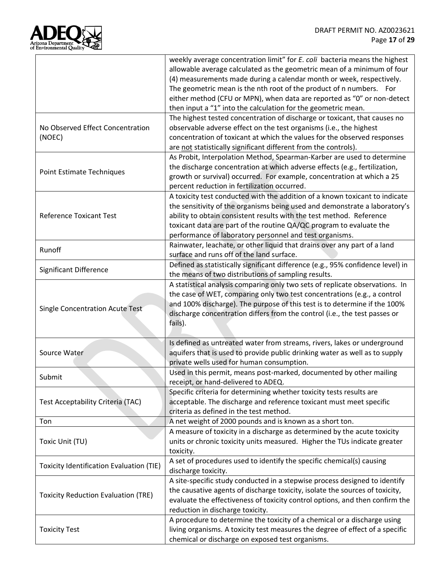

|                                            | weekly average concentration limit" for E. coli bacteria means the highest<br>allowable average calculated as the geometric mean of a minimum of four<br>(4) measurements made during a calendar month or week, respectively.<br>The geometric mean is the nth root of the product of n numbers. For<br>either method (CFU or MPN), when data are reported as "0" or non-detect<br>then input a "1" into the calculation for the geometric mean. |
|--------------------------------------------|--------------------------------------------------------------------------------------------------------------------------------------------------------------------------------------------------------------------------------------------------------------------------------------------------------------------------------------------------------------------------------------------------------------------------------------------------|
| No Observed Effect Concentration<br>(NOEC) | The highest tested concentration of discharge or toxicant, that causes no<br>observable adverse effect on the test organisms (i.e., the highest<br>concentration of toxicant at which the values for the observed responses<br>are not statistically significant different from the controls).                                                                                                                                                   |
| Point Estimate Techniques                  | As Probit, Interpolation Method, Spearman-Karber are used to determine<br>the discharge concentration at which adverse effects (e.g., fertilization,<br>growth or survival) occurred. For example, concentration at which a 25<br>percent reduction in fertilization occurred.                                                                                                                                                                   |
| <b>Reference Toxicant Test</b>             | A toxicity test conducted with the addition of a known toxicant to indicate<br>the sensitivity of the organisms being used and demonstrate a laboratory's<br>ability to obtain consistent results with the test method. Reference<br>toxicant data are part of the routine QA/QC program to evaluate the<br>performance of laboratory personnel and test organisms.                                                                              |
| Runoff                                     | Rainwater, leachate, or other liquid that drains over any part of a land<br>surface and runs off of the land surface.                                                                                                                                                                                                                                                                                                                            |
| Significant Difference                     | Defined as statistically significant difference (e.g., 95% confidence level) in<br>the means of two distributions of sampling results.                                                                                                                                                                                                                                                                                                           |
| Single Concentration Acute Test            | A statistical analysis comparing only two sets of replicate observations. In<br>the case of WET, comparing only two test concentrations (e.g., a control<br>and 100% discharge). The purpose of this test is to determine if the 100%<br>discharge concentration differs from the control (i.e., the test passes or<br>fails).                                                                                                                   |
| Source Water                               | Is defined as untreated water from streams, rivers, lakes or underground<br>aquifers that is used to provide public drinking water as well as to supply<br>private wells used for human consumption.                                                                                                                                                                                                                                             |
| Submit                                     | Used in this permit, means post-marked, documented by other mailing<br>receipt, or hand-delivered to ADEQ.                                                                                                                                                                                                                                                                                                                                       |
| Test Acceptability Criteria (TAC)          | Specific criteria for determining whether toxicity tests results are<br>acceptable. The discharge and reference toxicant must meet specific<br>criteria as defined in the test method.                                                                                                                                                                                                                                                           |
| Ton                                        | A net weight of 2000 pounds and is known as a short ton.                                                                                                                                                                                                                                                                                                                                                                                         |
| Toxic Unit (TU)                            | A measure of toxicity in a discharge as determined by the acute toxicity<br>units or chronic toxicity units measured. Higher the TUs indicate greater<br>toxicity.                                                                                                                                                                                                                                                                               |
| Toxicity Identification Evaluation (TIE)   | A set of procedures used to identify the specific chemical(s) causing<br>discharge toxicity.                                                                                                                                                                                                                                                                                                                                                     |
| <b>Toxicity Reduction Evaluation (TRE)</b> | A site-specific study conducted in a stepwise process designed to identify<br>the causative agents of discharge toxicity, isolate the sources of toxicity,<br>evaluate the effectiveness of toxicity control options, and then confirm the<br>reduction in discharge toxicity.                                                                                                                                                                   |
| <b>Toxicity Test</b>                       | A procedure to determine the toxicity of a chemical or a discharge using<br>living organisms. A toxicity test measures the degree of effect of a specific<br>chemical or discharge on exposed test organisms.                                                                                                                                                                                                                                    |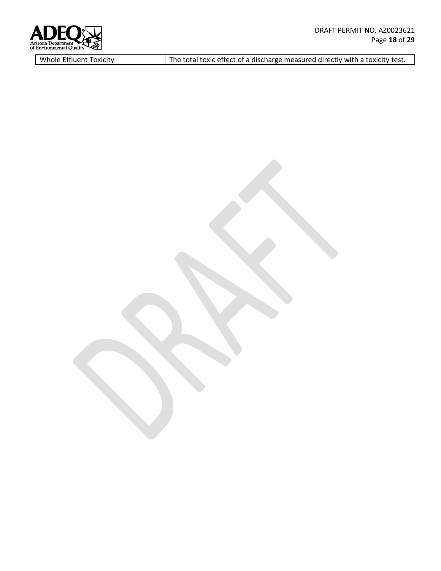

Whole Effluent Toxicity The total toxic effect of a discharge measured directly with a toxicity test.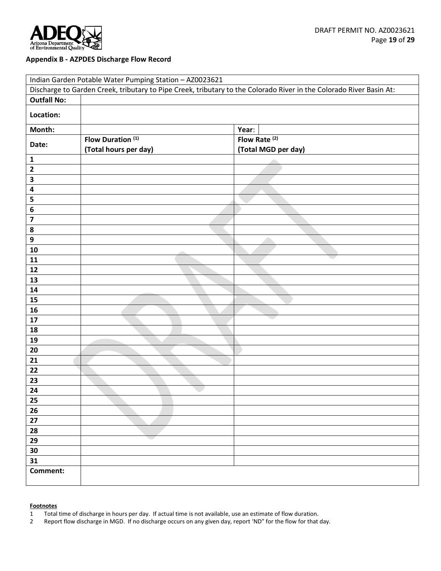

#### <span id="page-18-0"></span>**Appendix B - AZPDES Discharge Flow Record**

|                         | Indian Garden Potable Water Pumping Station - AZ0023621 |                                                                                                                     |
|-------------------------|---------------------------------------------------------|---------------------------------------------------------------------------------------------------------------------|
|                         |                                                         | Discharge to Garden Creek, tributary to Pipe Creek, tributary to the Colorado River in the Colorado River Basin At: |
| <b>Outfall No:</b>      |                                                         |                                                                                                                     |
| Location:               |                                                         |                                                                                                                     |
| Month:                  |                                                         | Year:                                                                                                               |
|                         | Flow Duration <sup>(1)</sup>                            | Flow Rate <sup>(2)</sup>                                                                                            |
| Date:                   | (Total hours per day)                                   | (Total MGD per day)                                                                                                 |
| 1                       |                                                         |                                                                                                                     |
| $\mathbf{2}$            |                                                         |                                                                                                                     |
| $\overline{\mathbf{3}}$ |                                                         |                                                                                                                     |
| 4                       |                                                         |                                                                                                                     |
| 5                       |                                                         |                                                                                                                     |
| 6                       |                                                         |                                                                                                                     |
| 7                       |                                                         |                                                                                                                     |
| 8                       |                                                         |                                                                                                                     |
| $\boldsymbol{9}$        |                                                         |                                                                                                                     |
| 10                      |                                                         |                                                                                                                     |
| 11                      |                                                         |                                                                                                                     |
| 12                      |                                                         |                                                                                                                     |
| 13                      |                                                         |                                                                                                                     |
| 14                      |                                                         |                                                                                                                     |
| 15                      |                                                         |                                                                                                                     |
| 16                      |                                                         |                                                                                                                     |
| 17                      |                                                         |                                                                                                                     |
| 18                      |                                                         |                                                                                                                     |
| 19                      |                                                         |                                                                                                                     |
| 20                      |                                                         |                                                                                                                     |
| 21                      |                                                         |                                                                                                                     |
| 22                      |                                                         |                                                                                                                     |
| 23                      |                                                         |                                                                                                                     |
| 24                      |                                                         |                                                                                                                     |
| 25                      |                                                         |                                                                                                                     |
| 26                      |                                                         |                                                                                                                     |
| 27                      |                                                         |                                                                                                                     |
| 28                      |                                                         |                                                                                                                     |
| 29                      |                                                         |                                                                                                                     |
| 30<br>31                |                                                         |                                                                                                                     |
| Comment:                |                                                         |                                                                                                                     |
|                         |                                                         |                                                                                                                     |
|                         |                                                         |                                                                                                                     |

#### **Footnotes**

Report flow discharge in MGD. If no discharge occurs on any given day, report 'ND" for the flow for that day.

Total time of discharge in hours per day. If actual time is not available, use an estimate of flow duration.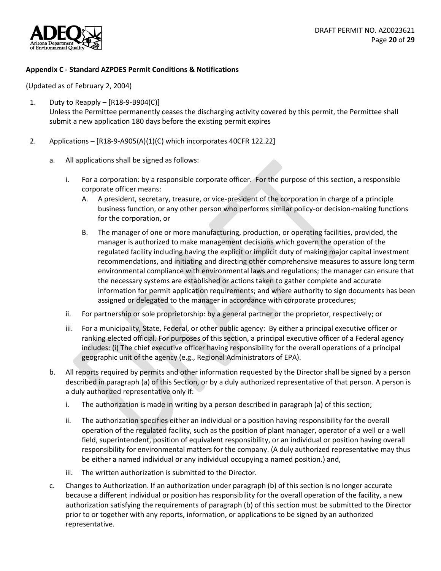

## <span id="page-19-0"></span>**Appendix C - Standard AZPDES Permit Conditions & Notifications**

(Updated as of February 2, 2004)

- 1. Duty to Reapply [R18-9-B904(C)] Unless the Permittee permanently ceases the discharging activity covered by this permit, the Permittee shall submit a new application 180 days before the existing permit expires
- 2. Applications [R18-9-A905(A)(1)(C) which incorporates 40CFR 122.22]
	- a. All applications shall be signed as follows:
		- i. For a corporation: by a responsible corporate officer. For the purpose of this section, a responsible corporate officer means:
			- A. A president, secretary, treasure, or vice-president of the corporation in charge of a principle business function, or any other person who performs similar policy-or decision-making functions for the corporation, or
			- B. The manager of one or more manufacturing, production, or operating facilities, provided, the manager is authorized to make management decisions which govern the operation of the regulated facility including having the explicit or implicit duty of making major capital investment recommendations, and initiating and directing other comprehensive measures to assure long term environmental compliance with environmental laws and regulations; the manager can ensure that the necessary systems are established or actions taken to gather complete and accurate information for permit application requirements; and where authority to sign documents has been assigned or delegated to the manager in accordance with corporate procedures;
		- ii. For partnership or sole proprietorship: by a general partner or the proprietor, respectively; or
		- iii. For a municipality, State, Federal, or other public agency: By either a principal executive officer or ranking elected official. For purposes of this section, a principal executive officer of a Federal agency includes: (i) The chief executive officer having responsibility for the overall operations of a principal geographic unit of the agency (e.g., Regional Administrators of EPA).
	- b. All reports required by permits and other information requested by the Director shall be signed by a person described in paragraph (a) of this Section, or by a duly authorized representative of that person. A person is a duly authorized representative only if:
		- i. The authorization is made in writing by a person described in paragraph (a) of this section;
		- ii. The authorization specifies either an individual or a position having responsibility for the overall operation of the regulated facility, such as the position of plant manager, operator of a well or a well field, superintendent, position of equivalent responsibility, or an individual or position having overall responsibility for environmental matters for the company. (A duly authorized representative may thus be either a named individual or any individual occupying a named position.) and,
		- iii. The written authorization is submitted to the Director.
	- c. Changes to Authorization. If an authorization under paragraph (b) of this section is no longer accurate because a different individual or position has responsibility for the overall operation of the facility, a new authorization satisfying the requirements of paragraph (b) of this section must be submitted to the Director prior to or together with any reports, information, or applications to be signed by an authorized representative.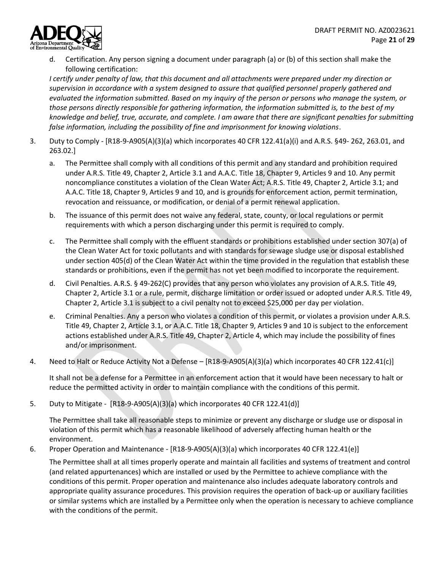

d. Certification. Any person signing a document under paragraph (a) or (b) of this section shall make the following certification:

*I certify under penalty of law, that this document and all attachments were prepared under my direction or supervision in accordance with a system designed to assure that qualified personnel properly gathered and evaluated the information submitted. Based on my inquiry of the person or persons who manage the system, or those persons directly responsible for gathering information, the information submitted is, to the best of my knowledge and belief, true, accurate, and complete. I am aware that there are significant penalties for submitting false information, including the possibility of fine and imprisonment for knowing violations*.

- 3. Duty to Comply [R18-9-A905(A)(3)(a) which incorporates 40 CFR 122.41(a)(i) and A.R.S. §49- 262, 263.01, and 263.02.]
	- a. The Permittee shall comply with all conditions of this permit and any standard and prohibition required under A.R.S. Title 49, Chapter 2, Article 3.1 and A.A.C. Title 18, Chapter 9, Articles 9 and 10. Any permit noncompliance constitutes a violation of the Clean Water Act; A.R.S. Title 49, Chapter 2, Article 3.1; and A.A.C. Title 18, Chapter 9, Articles 9 and 10, and is grounds for enforcement action, permit termination, revocation and reissuance, or modification, or denial of a permit renewal application.
	- b. The issuance of this permit does not waive any federal, state, county, or local regulations or permit requirements with which a person discharging under this permit is required to comply.
	- c. The Permittee shall comply with the effluent standards or prohibitions established under section 307(a) of the Clean Water Act for toxic pollutants and with standards for sewage sludge use or disposal established under section 405(d) of the Clean Water Act within the time provided in the regulation that establish these standards or prohibitions, even if the permit has not yet been modified to incorporate the requirement.
	- d. Civil Penalties. A.R.S. § 49-262(C) provides that any person who violates any provision of A.R.S. Title 49, Chapter 2, Article 3.1 or a rule, permit, discharge limitation or order issued or adopted under A.R.S. Title 49, Chapter 2, Article 3.1 is subject to a civil penalty not to exceed \$25,000 per day per violation.
	- e. Criminal Penalties. Any a person who violates a condition of this permit, or violates a provision under A.R.S. Title 49, Chapter 2, Article 3.1, or A.A.C. Title 18, Chapter 9, Articles 9 and 10 is subject to the enforcement actions established under A.R.S. Title 49, Chapter 2, Article 4, which may include the possibility of fines and/or imprisonment.
- 4. Need to Halt or Reduce Activity Not a Defense [R18-9-A905(A)(3)(a) which incorporates 40 CFR 122.41(c)]

It shall not be a defense for a Permittee in an enforcement action that it would have been necessary to halt or reduce the permitted activity in order to maintain compliance with the conditions of this permit.

5. Duty to Mitigate - [R18-9-A905(A)(3)(a) which incorporates 40 CFR 122.41(d)]

The Permittee shall take all reasonable steps to minimize or prevent any discharge or sludge use or disposal in violation of this permit which has a reasonable likelihood of adversely affecting human health or the environment.

6. Proper Operation and Maintenance - [R18-9-A905(A)(3)(a) which incorporates 40 CFR 122.41(e)]

The Permittee shall at all times properly operate and maintain all facilities and systems of treatment and control (and related appurtenances) which are installed or used by the Permittee to achieve compliance with the conditions of this permit. Proper operation and maintenance also includes adequate laboratory controls and appropriate quality assurance procedures. This provision requires the operation of back-up or auxiliary facilities or similar systems which are installed by a Permittee only when the operation is necessary to achieve compliance with the conditions of the permit.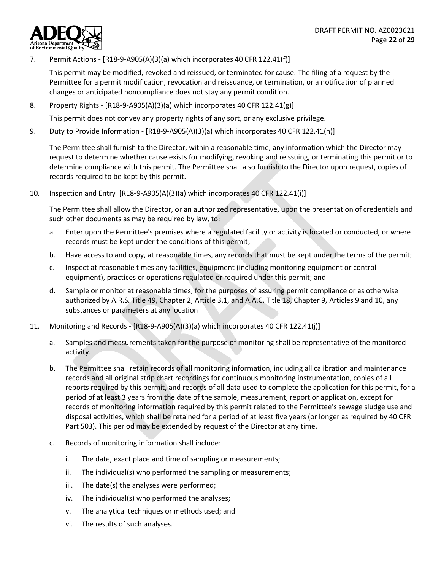

7. Permit Actions - [R18-9-A905(A)(3)(a) which incorporates 40 CFR 122.41(f)]

This permit may be modified, revoked and reissued, or terminated for cause. The filing of a request by the Permittee for a permit modification, revocation and reissuance, or termination, or a notification of planned changes or anticipated noncompliance does not stay any permit condition.

8. Property Rights - [R18-9-A905(A)(3)(a) which incorporates 40 CFR 122.41(g)]

This permit does not convey any property rights of any sort, or any exclusive privilege.

9. Duty to Provide Information - [R18-9-A905(A)(3)(a) which incorporates 40 CFR 122.41(h)]

The Permittee shall furnish to the Director, within a reasonable time, any information which the Director may request to determine whether cause exists for modifying, revoking and reissuing, or terminating this permit or to determine compliance with this permit. The Permittee shall also furnish to the Director upon request, copies of records required to be kept by this permit.

10. Inspection and Entry [R18-9-A905(A)(3)(a) which incorporates 40 CFR 122.41(i)]

The Permittee shall allow the Director, or an authorized representative, upon the presentation of credentials and such other documents as may be required by law, to:

- a. Enter upon the Permittee's premises where a regulated facility or activity is located or conducted, or where records must be kept under the conditions of this permit;
- b. Have access to and copy, at reasonable times, any records that must be kept under the terms of the permit;
- c. Inspect at reasonable times any facilities, equipment (including monitoring equipment or control equipment), practices or operations regulated or required under this permit; and
- d. Sample or monitor at reasonable times, for the purposes of assuring permit compliance or as otherwise authorized by A.R.S. Title 49, Chapter 2, Article 3.1, and A.A.C. Title 18, Chapter 9, Articles 9 and 10, any substances or parameters at any location
- 11. Monitoring and Records [R18-9-A905(A)(3)(a) which incorporates 40 CFR 122.41(j)]
	- a. Samples and measurements taken for the purpose of monitoring shall be representative of the monitored activity.
	- b. The Permittee shall retain records of all monitoring information, including all calibration and maintenance records and all original strip chart recordings for continuous monitoring instrumentation, copies of all reports required by this permit, and records of all data used to complete the application for this permit, for a period of at least 3 years from the date of the sample, measurement, report or application, except for records of monitoring information required by this permit related to the Permittee's sewage sludge use and disposal activities, which shall be retained for a period of at least five years (or longer as required by 40 CFR Part 503). This period may be extended by request of the Director at any time.
	- c. Records of monitoring information shall include:
		- i. The date, exact place and time of sampling or measurements;
		- ii. The individual(s) who performed the sampling or measurements;
		- iii. The date(s) the analyses were performed;
		- iv. The individual(s) who performed the analyses;
		- v. The analytical techniques or methods used; and
		- vi. The results of such analyses.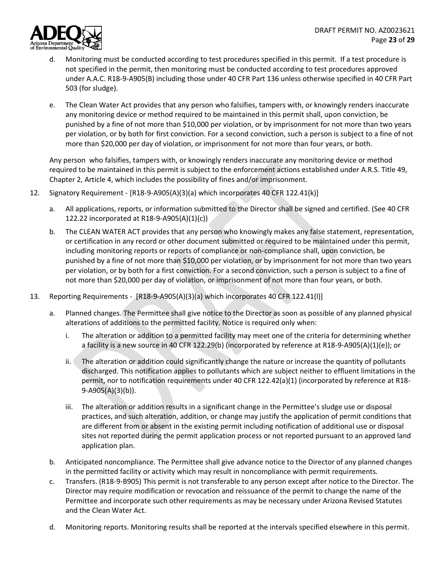

- d. Monitoring must be conducted according to test procedures specified in this permit. If a test procedure is not specified in the permit, then monitoring must be conducted according to test procedures approved under A.A.C. R18-9-A905(B) including those under 40 CFR Part 136 unless otherwise specified in 40 CFR Part 503 (for sludge).
- e. The Clean Water Act provides that any person who falsifies, tampers with, or knowingly renders inaccurate any monitoring device or method required to be maintained in this permit shall, upon conviction, be punished by a fine of not more than \$10,000 per violation, or by imprisonment for not more than two years per violation, or by both for first conviction. For a second conviction, such a person is subject to a fine of not more than \$20,000 per day of violation, or imprisonment for not more than four years, or both.

Any person who falsifies, tampers with, or knowingly renders inaccurate any monitoring device or method required to be maintained in this permit is subject to the enforcement actions established under A.R.S. Title 49, Chapter 2, Article 4, which includes the possibility of fines and/or imprisonment.

- 12. Signatory Requirement [R18-9-A905(A)(3)(a) which incorporates 40 CFR 122.41(k)]
	- a. All applications, reports, or information submitted to the Director shall be signed and certified. (See 40 CFR 122.22 incorporated at R18-9-A905(A)(1)(c))
	- b. The CLEAN WATER ACT provides that any person who knowingly makes any false statement, representation, or certification in any record or other document submitted or required to be maintained under this permit, including monitoring reports or reports of compliance or non-compliance shall, upon conviction, be punished by a fine of not more than \$10,000 per violation, or by imprisonment for not more than two years per violation, or by both for a first conviction. For a second conviction, such a person is subject to a fine of not more than \$20,000 per day of violation, or imprisonment of not more than four years, or both.
- 13. Reporting Requirements [R18-9-A905(A)(3)(a) which incorporates 40 CFR 122.41(l)]
	- a. Planned changes. The Permittee shall give notice to the Director as soon as possible of any planned physical alterations of additions to the permitted facility. Notice is required only when:
		- i. The alteration or addition to a permitted facility may meet one of the criteria for determining whether a facility is a new source in 40 CFR 122.29(b) (incorporated by reference at R18-9-A905(A)(1)(e)); or
		- ii. The alteration or addition could significantly change the nature or increase the quantity of pollutants discharged. This notification applies to pollutants which are subject neither to effluent limitations in the permit, nor to notification requirements under 40 CFR 122.42(a)(1) (incorporated by reference at R18- 9-A905(A)(3)(b)).
		- iii. The alteration or addition results in a significant change in the Permittee's sludge use or disposal practices, and such alteration, addition, or change may justify the application of permit conditions that are different from or absent in the existing permit including notification of additional use or disposal sites not reported during the permit application process or not reported pursuant to an approved land application plan.
	- b. Anticipated noncompliance. The Permittee shall give advance notice to the Director of any planned changes in the permitted facility or activity which may result in noncompliance with permit requirements.
	- c. Transfers. (R18-9-B905) This permit is not transferable to any person except after notice to the Director. The Director may require modification or revocation and reissuance of the permit to change the name of the Permittee and incorporate such other requirements as may be necessary under Arizona Revised Statutes and the Clean Water Act.
	- d. Monitoring reports. Monitoring results shall be reported at the intervals specified elsewhere in this permit.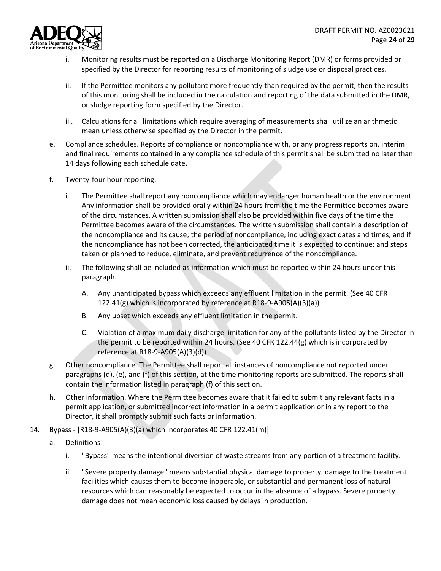

- i. Monitoring results must be reported on a Discharge Monitoring Report (DMR) or forms provided or specified by the Director for reporting results of monitoring of sludge use or disposal practices.
- ii. If the Permittee monitors any pollutant more frequently than required by the permit, then the results of this monitoring shall be included in the calculation and reporting of the data submitted in the DMR, or sludge reporting form specified by the Director.
- iii. Calculations for all limitations which require averaging of measurements shall utilize an arithmetic mean unless otherwise specified by the Director in the permit.
- e. Compliance schedules. Reports of compliance or noncompliance with, or any progress reports on, interim and final requirements contained in any compliance schedule of this permit shall be submitted no later than 14 days following each schedule date.
- f. Twenty-four hour reporting.
	- i. The Permittee shall report any noncompliance which may endanger human health or the environment. Any information shall be provided orally within 24 hours from the time the Permittee becomes aware of the circumstances. A written submission shall also be provided within five days of the time the Permittee becomes aware of the circumstances. The written submission shall contain a description of the noncompliance and its cause; the period of noncompliance, including exact dates and times, and if the noncompliance has not been corrected, the anticipated time it is expected to continue; and steps taken or planned to reduce, eliminate, and prevent recurrence of the noncompliance.
	- ii. The following shall be included as information which must be reported within 24 hours under this paragraph.
		- A. Any unanticipated bypass which exceeds any effluent limitation in the permit. (See 40 CFR 122.41(g) which is incorporated by reference at R18-9-A905(A)(3)(a))
		- B. Any upset which exceeds any effluent limitation in the permit.
		- C. Violation of a maximum daily discharge limitation for any of the pollutants listed by the Director in the permit to be reported within 24 hours. (See 40 CFR 122.44(g) which is incorporated by reference at R18-9-A905(A)(3)(d))
- g. Other noncompliance. The Permittee shall report all instances of noncompliance not reported under paragraphs (d), (e), and (f) of this section, at the time monitoring reports are submitted. The reports shall contain the information listed in paragraph (f) of this section.
- h. Other information. Where the Permittee becomes aware that it failed to submit any relevant facts in a permit application, or submitted incorrect information in a permit application or in any report to the Director, it shall promptly submit such facts or information.
- 14. Bypass [R18-9-A905(A)(3)(a) which incorporates 40 CFR 122.41(m)]
	- a. Definitions
		- i. "Bypass" means the intentional diversion of waste streams from any portion of a treatment facility.
		- ii. "Severe property damage" means substantial physical damage to property, damage to the treatment facilities which causes them to become inoperable, or substantial and permanent loss of natural resources which can reasonably be expected to occur in the absence of a bypass. Severe property damage does not mean economic loss caused by delays in production.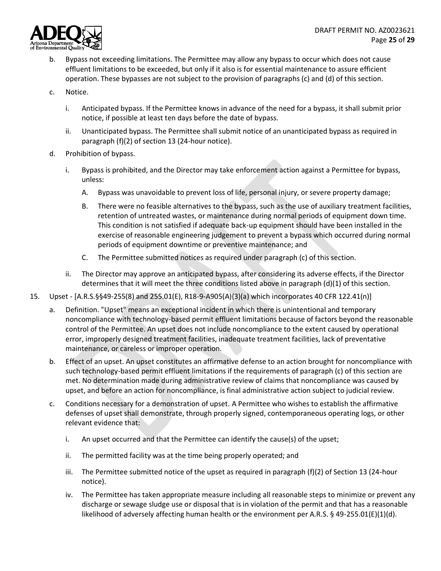

- b. Bypass not exceeding limitations. The Permittee may allow any bypass to occur which does not cause effluent limitations to be exceeded, but only if it also is for essential maintenance to assure efficient operation. These bypasses are not subject to the provision of paragraphs (c) and (d) of this section.
- c. Notice.
	- i. Anticipated bypass. If the Permittee knows in advance of the need for a bypass, it shall submit prior notice, if possible at least ten days before the date of bypass.
	- ii. Unanticipated bypass. The Permittee shall submit notice of an unanticipated bypass as required in paragraph (f)(2) of section 13 (24-hour notice).
- d. Prohibition of bypass.
	- i. Bypass is prohibited, and the Director may take enforcement action against a Permittee for bypass, unless:
		- A. Bypass was unavoidable to prevent loss of life, personal injury, or severe property damage;
		- B. There were no feasible alternatives to the bypass, such as the use of auxiliary treatment facilities, retention of untreated wastes, or maintenance during normal periods of equipment down time. This condition is not satisfied if adequate back-up equipment should have been installed in the exercise of reasonable engineering judgement to prevent a bypass which occurred during normal periods of equipment downtime or preventive maintenance; and
		- C. The Permittee submitted notices as required under paragraph (c) of this section.
	- ii. The Director may approve an anticipated bypass, after considering its adverse effects, if the Director determines that it will meet the three conditions listed above in paragraph (d)(1) of this section.
- 15. Upset [A.R.S.§§49-255(8) and 255.01(E), R18-9-A905(A)(3)(a) which incorporates 40 CFR 122.41(n)]
	- a. Definition. "Upset" means an exceptional incident in which there is unintentional and temporary noncompliance with technology-based permit effluent limitations because of factors beyond the reasonable control of the Permittee. An upset does not include noncompliance to the extent caused by operational error, improperly designed treatment facilities, inadequate treatment facilities, lack of preventative maintenance, or careless or improper operation.
	- b. Effect of an upset. An upset constitutes an affirmative defense to an action brought for noncompliance with such technology-based permit effluent limitations if the requirements of paragraph (c) of this section are met. No determination made during administrative review of claims that noncompliance was caused by upset, and before an action for noncompliance, is final administrative action subject to judicial review.
	- c. Conditions necessary for a demonstration of upset. A Permittee who wishes to establish the affirmative defenses of upset shall demonstrate, through properly signed, contemporaneous operating logs, or other relevant evidence that:
		- i. An upset occurred and that the Permittee can identify the cause(s) of the upset;
		- ii. The permitted facility was at the time being properly operated; and
		- iii. The Permittee submitted notice of the upset as required in paragraph (f)(2) of Section 13 (24-hour notice).
		- iv. The Permittee has taken appropriate measure including all reasonable steps to minimize or prevent any discharge or sewage sludge use or disposal that is in violation of the permit and that has a reasonable likelihood of adversely affecting human health or the environment per A.R.S. § 49-255.01(E)(1)(d).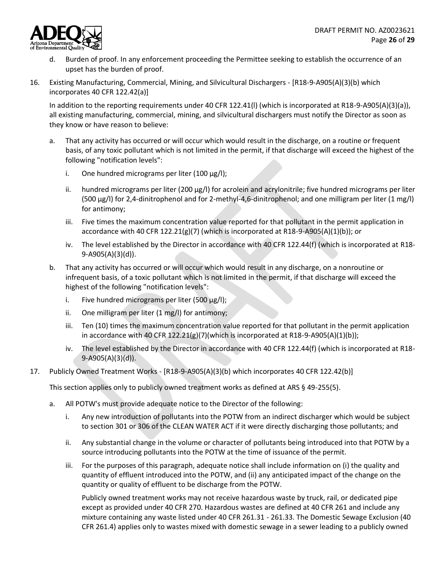

- d. Burden of proof. In any enforcement proceeding the Permittee seeking to establish the occurrence of an upset has the burden of proof.
- 16. Existing Manufacturing, Commercial, Mining, and Silvicultural Dischargers [R18-9-A905(A)(3)(b) which incorporates 40 CFR 122.42(a)]

In addition to the reporting requirements under 40 CFR 122.41(l) (which is incorporated at R18-9-A905(A)(3)(a)), all existing manufacturing, commercial, mining, and silvicultural dischargers must notify the Director as soon as they know or have reason to believe:

- a. That any activity has occurred or will occur which would result in the discharge, on a routine or frequent basis, of any toxic pollutant which is not limited in the permit, if that discharge will exceed the highest of the following "notification levels":
	- i. One hundred micrograms per liter (100 μg/l);
	- ii. hundred micrograms per liter (200 μg/l) for acrolein and acrylonitrile; five hundred micrograms per liter (500 μg/l) for 2,4-dinitrophenol and for 2-methyl-4,6-dinitrophenol; and one milligram per liter (1 mg/l) for antimony;
	- iii. Five times the maximum concentration value reported for that pollutant in the permit application in accordance with 40 CFR 122.21(g)(7) (which is incorporated at R18-9-A905(A)(1)(b)); or
	- iv. The level established by the Director in accordance with 40 CFR 122.44(f) (which is incorporated at R18- 9-A905(A)(3)(d)).
- b. That any activity has occurred or will occur which would result in any discharge, on a nonroutine or infrequent basis, of a toxic pollutant which is not limited in the permit, if that discharge will exceed the highest of the following "notification levels":
	- i. Five hundred micrograms per liter (500  $\mu$ g/l);
	- ii. One milligram per liter (1 mg/l) for antimony;
	- iii. Ten (10) times the maximum concentration value reported for that pollutant in the permit application in accordance with 40 CFR 122.21(g)(7)(which is incorporated at R18-9-A905(A)(1)(b));
	- iv. The level established by the Director in accordance with 40 CFR 122.44(f) (which is incorporated at R18- 9-A905(A)(3)(d)).
- 17. Publicly Owned Treatment Works [R18-9-A905(A)(3)(b) which incorporates 40 CFR 122.42(b)]

This section applies only to publicly owned treatment works as defined at ARS § 49-255(5).

- a. All POTW's must provide adequate notice to the Director of the following:
	- i. Any new introduction of pollutants into the POTW from an indirect discharger which would be subject to section 301 or 306 of the CLEAN WATER ACT if it were directly discharging those pollutants; and
	- ii. Any substantial change in the volume or character of pollutants being introduced into that POTW by a source introducing pollutants into the POTW at the time of issuance of the permit.
	- iii. For the purposes of this paragraph, adequate notice shall include information on (i) the quality and quantity of effluent introduced into the POTW, and (ii) any anticipated impact of the change on the quantity or quality of effluent to be discharge from the POTW.

Publicly owned treatment works may not receive hazardous waste by truck, rail, or dedicated pipe except as provided under 40 CFR 270. Hazardous wastes are defined at 40 CFR 261 and include any mixture containing any waste listed under 40 CFR 261.31 - 261.33. The Domestic Sewage Exclusion (40 CFR 261.4) applies only to wastes mixed with domestic sewage in a sewer leading to a publicly owned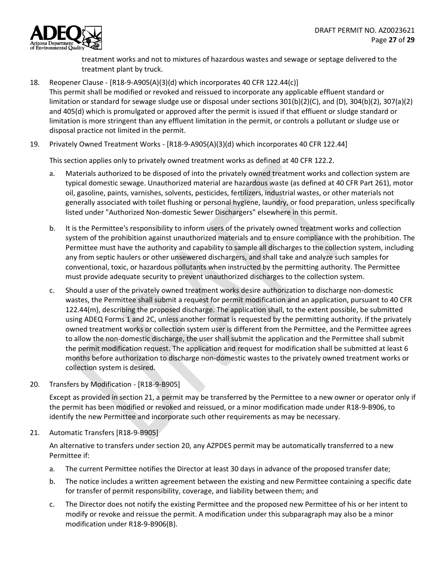

treatment works and not to mixtures of hazardous wastes and sewage or septage delivered to the treatment plant by truck.

18. Reopener Clause - [R18-9-A905(A)(3)(d) which incorporates 40 CFR 122.44(c)] This permit shall be modified or revoked and reissued to incorporate any applicable effluent standard or limitation or standard for sewage sludge use or disposal under sections 301(b)(2)(C), and (D), 304(b)(2), 307(a)(2) and 405(d) which is promulgated or approved after the permit is issued if that effluent or sludge standard or limitation is more stringent than any effluent limitation in the permit, or controls a pollutant or sludge use or disposal practice not limited in the permit.

19. Privately Owned Treatment Works - [R18-9-A905(A)(3)(d) which incorporates 40 CFR 122.44]

This section applies only to privately owned treatment works as defined at 40 CFR 122.2.

- a. Materials authorized to be disposed of into the privately owned treatment works and collection system are typical domestic sewage. Unauthorized material are hazardous waste (as defined at 40 CFR Part 261), motor oil, gasoline, paints, varnishes, solvents, pesticides, fertilizers, industrial wastes, or other materials not generally associated with toilet flushing or personal hygiene, laundry, or food preparation, unless specifically listed under "Authorized Non-domestic Sewer Dischargers" elsewhere in this permit.
- b. It is the Permittee's responsibility to inform users of the privately owned treatment works and collection system of the prohibition against unauthorized materials and to ensure compliance with the prohibition. The Permittee must have the authority and capability to sample all discharges to the collection system, including any from septic haulers or other unsewered dischargers, and shall take and analyze such samples for conventional, toxic, or hazardous pollutants when instructed by the permitting authority. The Permittee must provide adequate security to prevent unauthorized discharges to the collection system.
- c. Should a user of the privately owned treatment works desire authorization to discharge non-domestic wastes, the Permittee shall submit a request for permit modification and an application, pursuant to 40 CFR 122.44(m), describing the proposed discharge. The application shall, to the extent possible, be submitted using ADEQ Forms 1 and 2C, unless another format is requested by the permitting authority. If the privately owned treatment works or collection system user is different from the Permittee, and the Permittee agrees to allow the non-domestic discharge, the user shall submit the application and the Permittee shall submit the permit modification request. The application and request for modification shall be submitted at least 6 months before authorization to discharge non-domestic wastes to the privately owned treatment works or collection system is desired.
- 20. Transfers by Modification [R18-9-B905]

Except as provided in section 21, a permit may be transferred by the Permittee to a new owner or operator only if the permit has been modified or revoked and reissued, or a minor modification made under R18-9-B906, to identify the new Permittee and incorporate such other requirements as may be necessary.

21. Automatic Transfers [R18-9-B905]

An alternative to transfers under section 20, any AZPDES permit may be automatically transferred to a new Permittee if:

- a. The current Permittee notifies the Director at least 30 days in advance of the proposed transfer date;
- b. The notice includes a written agreement between the existing and new Permittee containing a specific date for transfer of permit responsibility, coverage, and liability between them; and
- c. The Director does not notify the existing Permittee and the proposed new Permittee of his or her intent to modify or revoke and reissue the permit. A modification under this subparagraph may also be a minor modification under R18-9-B906(B).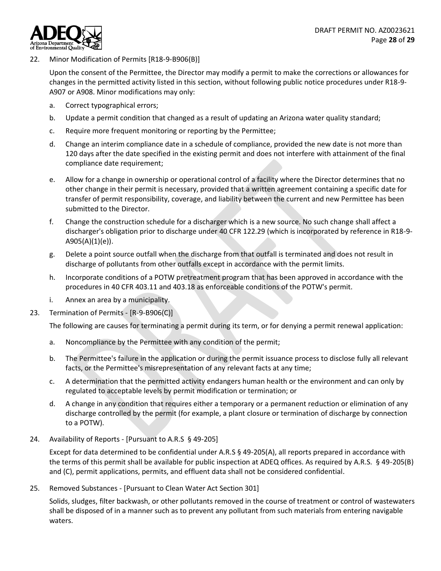

22. Minor Modification of Permits [R18-9-B906(B)]

Upon the consent of the Permittee, the Director may modify a permit to make the corrections or allowances for changes in the permitted activity listed in this section, without following public notice procedures under R18-9- A907 or A908. Minor modifications may only:

- a. Correct typographical errors;
- b. Update a permit condition that changed as a result of updating an Arizona water quality standard;
- c. Require more frequent monitoring or reporting by the Permittee;
- d. Change an interim compliance date in a schedule of compliance, provided the new date is not more than 120 days after the date specified in the existing permit and does not interfere with attainment of the final compliance date requirement;
- e. Allow for a change in ownership or operational control of a facility where the Director determines that no other change in their permit is necessary, provided that a written agreement containing a specific date for transfer of permit responsibility, coverage, and liability between the current and new Permittee has been submitted to the Director.
- f. Change the construction schedule for a discharger which is a new source. No such change shall affect a discharger's obligation prior to discharge under 40 CFR 122.29 (which is incorporated by reference in R18-9- A905(A)(1)(e)).
- g. Delete a point source outfall when the discharge from that outfall is terminated and does not result in discharge of pollutants from other outfalls except in accordance with the permit limits.
- h. Incorporate conditions of a POTW pretreatment program that has been approved in accordance with the procedures in 40 CFR 403.11 and 403.18 as enforceable conditions of the POTW's permit.
- i. Annex an area by a municipality.
- 23. Termination of Permits [R-9-B906(C)]

The following are causes for terminating a permit during its term, or for denying a permit renewal application:

- a. Noncompliance by the Permittee with any condition of the permit;
- b. The Permittee's failure in the application or during the permit issuance process to disclose fully all relevant facts, or the Permittee's misrepresentation of any relevant facts at any time;
- c. A determination that the permitted activity endangers human health or the environment and can only by regulated to acceptable levels by permit modification or termination; or
- d. A change in any condition that requires either a temporary or a permanent reduction or elimination of any discharge controlled by the permit (for example, a plant closure or termination of discharge by connection to a POTW).
- 24. Availability of Reports [Pursuant to A.R.S § 49-205]

Except for data determined to be confidential under A.R.S § 49-205(A), all reports prepared in accordance with the terms of this permit shall be available for public inspection at ADEQ offices. As required by A.R.S. § 49-205(B) and (C), permit applications, permits, and effluent data shall not be considered confidential.

25. Removed Substances - [Pursuant to Clean Water Act Section 301]

Solids, sludges, filter backwash, or other pollutants removed in the course of treatment or control of wastewaters shall be disposed of in a manner such as to prevent any pollutant from such materials from entering navigable waters.